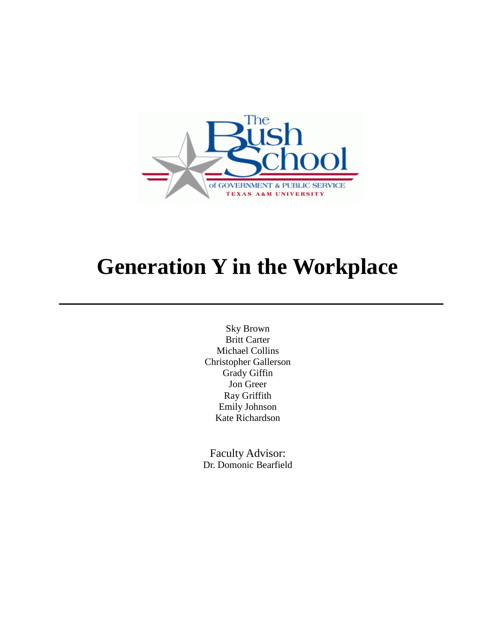

# **Generation Y in the Workplace**

Sky Brown Britt Carter Michael Collins Christopher Gallerson Grady Giffin Jon Greer Ray Griffith Emily Johnson Kate Richardson

Faculty Advisor: Dr. Domonic Bearfield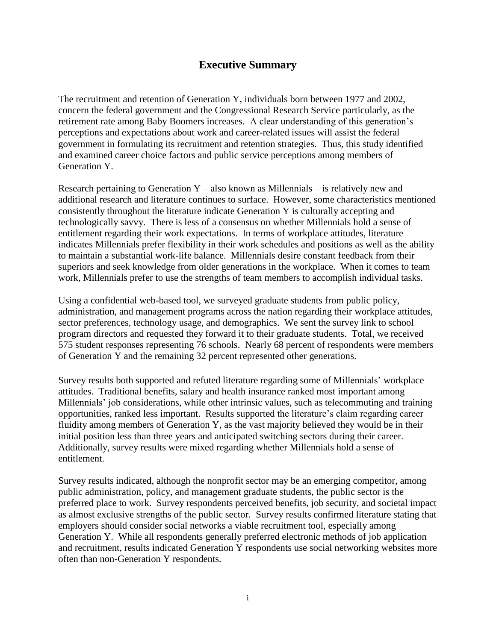# **Executive Summary**

The recruitment and retention of Generation Y, individuals born between 1977 and 2002, concern the federal government and the Congressional Research Service particularly, as the retirement rate among Baby Boomers increases. A clear understanding of this generation's perceptions and expectations about work and career-related issues will assist the federal government in formulating its recruitment and retention strategies. Thus, this study identified and examined career choice factors and public service perceptions among members of Generation Y.

Research pertaining to Generation  $Y -$  also known as Millennials – is relatively new and additional research and literature continues to surface. However, some characteristics mentioned consistently throughout the literature indicate Generation Y is culturally accepting and technologically savvy. There is less of a consensus on whether Millennials hold a sense of entitlement regarding their work expectations. In terms of workplace attitudes, literature indicates Millennials prefer flexibility in their work schedules and positions as well as the ability to maintain a substantial work-life balance. Millennials desire constant feedback from their superiors and seek knowledge from older generations in the workplace. When it comes to team work, Millennials prefer to use the strengths of team members to accomplish individual tasks.

Using a confidential web-based tool, we surveyed graduate students from public policy, administration, and management programs across the nation regarding their workplace attitudes, sector preferences, technology usage, and demographics. We sent the survey link to school program directors and requested they forward it to their graduate students. Total, we received 575 student responses representing 76 schools. Nearly 68 percent of respondents were members of Generation Y and the remaining 32 percent represented other generations.

Survey results both supported and refuted literature regarding some of Millennials' workplace attitudes. Traditional benefits, salary and health insurance ranked most important among Millennials' job considerations, while other intrinsic values, such as telecommuting and training opportunities, ranked less important. Results supported the literature's claim regarding career fluidity among members of Generation Y, as the vast majority believed they would be in their initial position less than three years and anticipated switching sectors during their career. Additionally, survey results were mixed regarding whether Millennials hold a sense of entitlement.

Survey results indicated, although the nonprofit sector may be an emerging competitor, among public administration, policy, and management graduate students, the public sector is the preferred place to work. Survey respondents perceived benefits, job security, and societal impact as almost exclusive strengths of the public sector. Survey results confirmed literature stating that employers should consider social networks a viable recruitment tool, especially among Generation Y. While all respondents generally preferred electronic methods of job application and recruitment, results indicated Generation Y respondents use social networking websites more often than non-Generation Y respondents.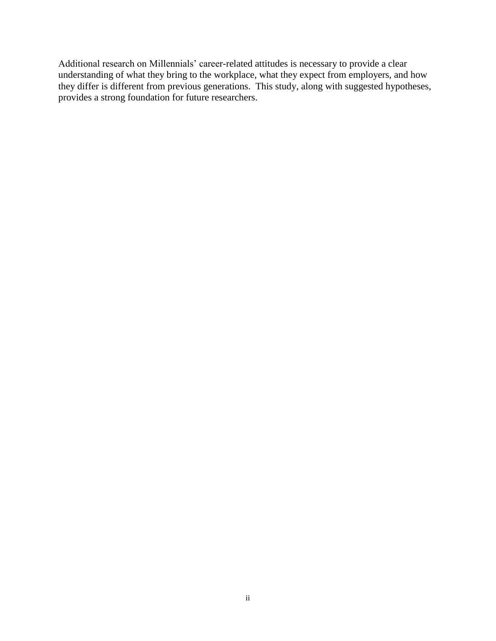Additional research on Millennials' career-related attitudes is necessary to provide a clear understanding of what they bring to the workplace, what they expect from employers, and how they differ is different from previous generations. This study, along with suggested hypotheses, provides a strong foundation for future researchers.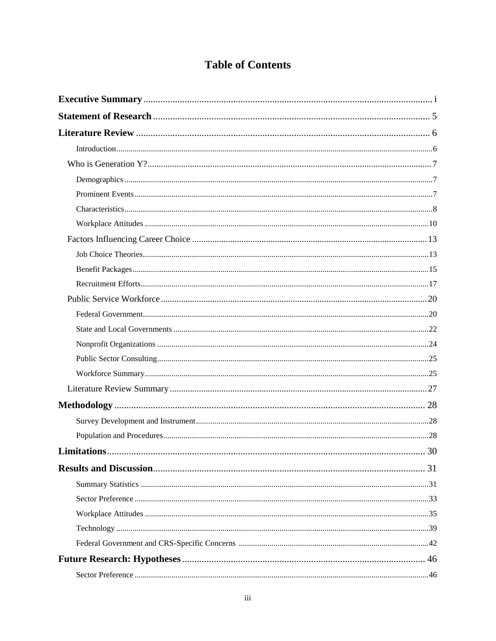# **Table of Contents**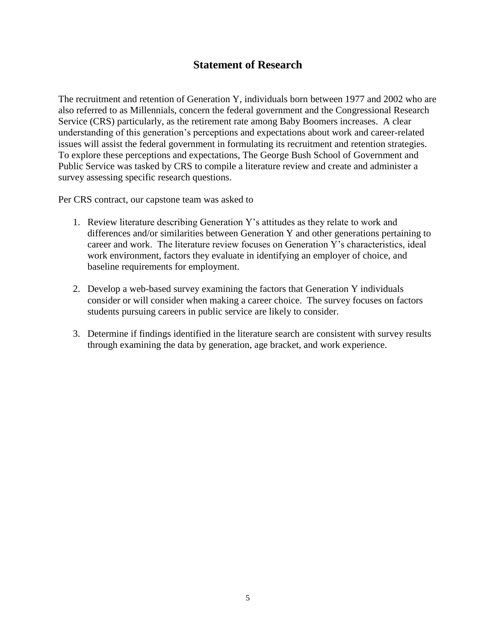# **Statement of Research**

The recruitment and retention of Generation Y, individuals born between 1977 and 2002 who are also referred to as Millennials, concern the federal government and the Congressional Research Service (CRS) particularly, as the retirement rate among Baby Boomers increases. A clear understanding of this generation's perceptions and expectations about work and career-related issues will assist the federal government in formulating its recruitment and retention strategies. To explore these perceptions and expectations, The George Bush School of Government and Public Service was tasked by CRS to compile a literature review and create and administer a survey assessing specific research questions.

Per CRS contract, our capstone team was asked to

- 1. Review literature describing Generation Y's attitudes as they relate to work and differences and/or similarities between Generation Y and other generations pertaining to career and work. The literature review focuses on Generation Y's characteristics, ideal work environment, factors they evaluate in identifying an employer of choice, and baseline requirements for employment.
- 2. Develop a web-based survey examining the factors that Generation Y individuals consider or will consider when making a career choice. The survey focuses on factors students pursuing careers in public service are likely to consider.
- 3. Determine if findings identified in the literature search are consistent with survey results through examining the data by generation, age bracket, and work experience.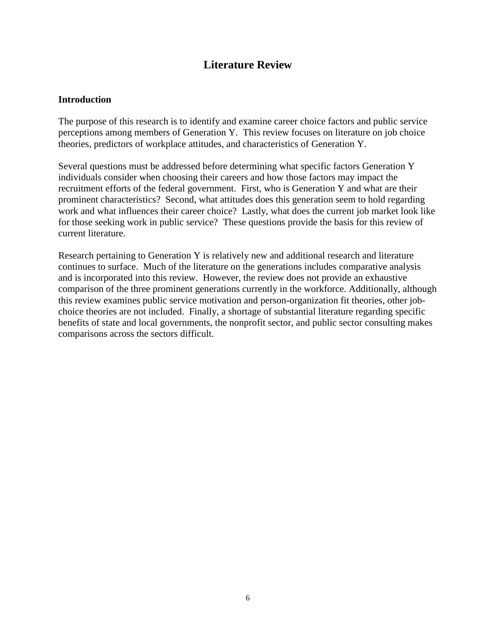# **Literature Review**

#### **Introduction**

The purpose of this research is to identify and examine career choice factors and public service perceptions among members of Generation Y. This review focuses on literature on job choice theories, predictors of workplace attitudes, and characteristics of Generation Y.

Several questions must be addressed before determining what specific factors Generation Y individuals consider when choosing their careers and how those factors may impact the recruitment efforts of the federal government. First, who is Generation Y and what are their prominent characteristics? Second, what attitudes does this generation seem to hold regarding work and what influences their career choice? Lastly, what does the current job market look like for those seeking work in public service? These questions provide the basis for this review of current literature.

Research pertaining to Generation Y is relatively new and additional research and literature continues to surface. Much of the literature on the generations includes comparative analysis and is incorporated into this review. However, the review does not provide an exhaustive comparison of the three prominent generations currently in the workforce. Additionally, although this review examines public service motivation and person-organization fit theories, other jobchoice theories are not included. Finally, a shortage of substantial literature regarding specific benefits of state and local governments, the nonprofit sector, and public sector consulting makes comparisons across the sectors difficult.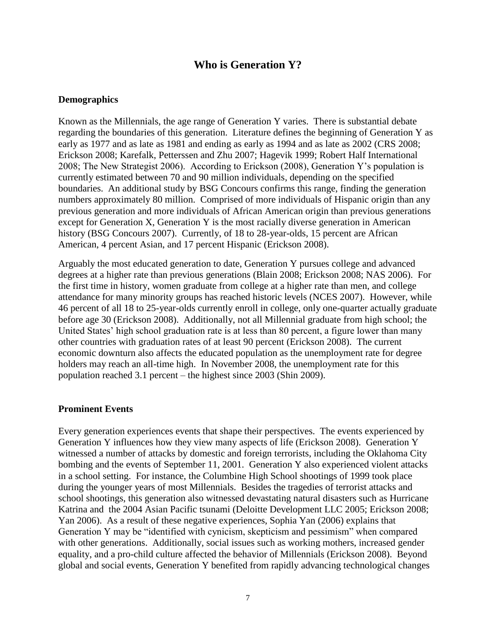## **Who is Generation Y?**

#### **Demographics**

Known as the Millennials, the age range of Generation Y varies. There is substantial debate regarding the boundaries of this generation. Literature defines the beginning of Generation Y as early as 1977 and as late as 1981 and ending as early as 1994 and as late as 2002 (CRS 2008; Erickson 2008; Karefalk, Petterssen and Zhu 2007; Hagevik 1999; Robert Half International 2008; The New Strategist 2006). According to Erickson (2008), Generation Y's population is currently estimated between 70 and 90 million individuals, depending on the specified boundaries. An additional study by BSG Concours confirms this range, finding the generation numbers approximately 80 million. Comprised of more individuals of Hispanic origin than any previous generation and more individuals of African American origin than previous generations except for Generation X, Generation Y is the most racially diverse generation in American history (BSG Concours 2007). Currently, of 18 to 28-year-olds, 15 percent are African American, 4 percent Asian, and 17 percent Hispanic (Erickson 2008).

Arguably the most educated generation to date, Generation Y pursues college and advanced degrees at a higher rate than previous generations (Blain 2008; Erickson 2008; NAS 2006). For the first time in history, women graduate from college at a higher rate than men, and college attendance for many minority groups has reached historic levels (NCES 2007). However, while 46 percent of all 18 to 25-year-olds currently enroll in college, only one-quarter actually graduate before age 30 (Erickson 2008). Additionally, not all Millennial graduate from high school; the United States' high school graduation rate is at less than 80 percent, a figure lower than many other countries with graduation rates of at least 90 percent (Erickson 2008). The current economic downturn also affects the educated population as the unemployment rate for degree holders may reach an all-time high. In November 2008, the unemployment rate for this population reached 3.1 percent – the highest since 2003 (Shin 2009).

#### **Prominent Events**

Every generation experiences events that shape their perspectives. The events experienced by Generation Y influences how they view many aspects of life (Erickson 2008). Generation Y witnessed a number of attacks by domestic and foreign terrorists, including the Oklahoma City bombing and the events of September 11, 2001. Generation Y also experienced violent attacks in a school setting. For instance, the Columbine High School shootings of 1999 took place during the younger years of most Millennials. Besides the tragedies of terrorist attacks and school shootings, this generation also witnessed devastating natural disasters such as Hurricane Katrina and the 2004 Asian Pacific tsunami (Deloitte Development LLC 2005; Erickson 2008; Yan 2006). As a result of these negative experiences, Sophia Yan (2006) explains that Generation Y may be "identified with cynicism, skepticism and pessimism" when compared with other generations. Additionally, social issues such as working mothers, increased gender equality, and a pro-child culture affected the behavior of Millennials (Erickson 2008). Beyond global and social events, Generation Y benefited from rapidly advancing technological changes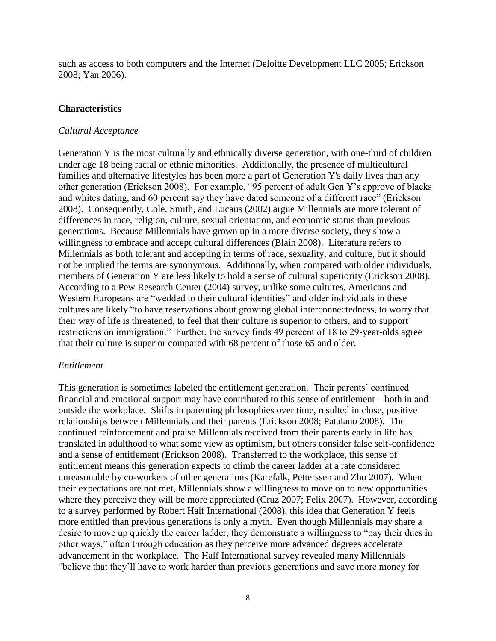such as access to both computers and the Internet (Deloitte Development LLC 2005; Erickson 2008; Yan 2006).

#### **Characteristics**

#### *Cultural Acceptance*

Generation Y is the most culturally and ethnically diverse generation, with one-third of children under age 18 being racial or ethnic minorities. Additionally, the presence of multicultural families and alternative lifestyles has been more a part of Generation Y's daily lives than any other generation (Erickson 2008). For example, "95 percent of adult Gen Y's approve of blacks and whites dating, and 60 percent say they have dated someone of a different race" (Erickson 2008). Consequently, Cole, Smith, and Lucaus (2002) argue Millennials are more tolerant of differences in race, religion, culture, sexual orientation, and economic status than previous generations. Because Millennials have grown up in a more diverse society, they show a willingness to embrace and accept cultural differences (Blain 2008). Literature refers to Millennials as both tolerant and accepting in terms of race, sexuality, and culture, but it should not be implied the terms are synonymous. Additionally, when compared with older individuals, members of Generation Y are less likely to hold a sense of cultural superiority (Erickson 2008). According to a Pew Research Center (2004) survey, unlike some cultures, Americans and Western Europeans are "wedded to their cultural identities" and older individuals in these cultures are likely "to have reservations about growing global interconnectedness, to worry that their way of life is threatened, to feel that their culture is superior to others, and to support restrictions on immigration." Further, the survey finds 49 percent of 18 to 29-year-olds agree that their culture is superior compared with 68 percent of those 65 and older.

#### *Entitlement*

This generation is sometimes labeled the entitlement generation. Their parents' continued financial and emotional support may have contributed to this sense of entitlement – both in and outside the workplace. Shifts in parenting philosophies over time, resulted in close, positive relationships between Millennials and their parents (Erickson 2008; Patalano 2008). The continued reinforcement and praise Millennials received from their parents early in life has translated in adulthood to what some view as optimism, but others consider false self-confidence and a sense of entitlement (Erickson 2008). Transferred to the workplace, this sense of entitlement means this generation expects to climb the career ladder at a rate considered unreasonable by co-workers of other generations (Karefalk, Petterssen and Zhu 2007). When their expectations are not met, Millennials show a willingness to move on to new opportunities where they perceive they will be more appreciated (Cruz 2007; Felix 2007). However, according to a survey performed by Robert Half International (2008), this idea that Generation Y feels more entitled than previous generations is only a myth. Even though Millennials may share a desire to move up quickly the career ladder, they demonstrate a willingness to "pay their dues in other ways," often through education as they perceive more advanced degrees accelerate advancement in the workplace. The Half International survey revealed many Millennials "believe that they'll have to work harder than previous generations and save more money for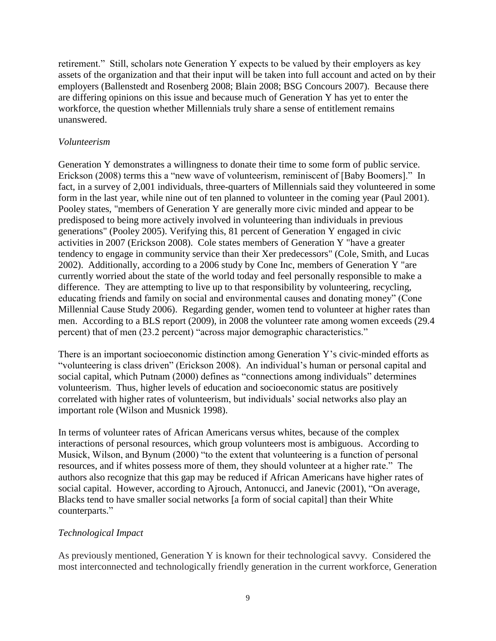retirement." Still, scholars note Generation Y expects to be valued by their employers as key assets of the organization and that their input will be taken into full account and acted on by their employers (Ballenstedt and Rosenberg 2008; Blain 2008; BSG Concours 2007). Because there are differing opinions on this issue and because much of Generation Y has yet to enter the workforce, the question whether Millennials truly share a sense of entitlement remains unanswered.

#### *Volunteerism*

Generation Y demonstrates a willingness to donate their time to some form of public service. Erickson (2008) terms this a "new wave of volunteerism, reminiscent of [Baby Boomers]." In fact, in a survey of 2,001 individuals, three-quarters of Millennials said they volunteered in some form in the last year, while nine out of ten planned to volunteer in the coming year (Paul 2001). Pooley states, "members of Generation Y are generally more civic minded and appear to be predisposed to being more actively involved in volunteering than individuals in previous generations" (Pooley 2005). Verifying this, 81 percent of Generation Y engaged in civic activities in 2007 (Erickson 2008). Cole states members of Generation Y "have a greater tendency to engage in community service than their Xer predecessors" (Cole, Smith, and Lucas 2002). Additionally, according to a 2006 study by Cone Inc, members of Generation Y "are currently worried about the state of the world today and feel personally responsible to make a difference. They are attempting to live up to that responsibility by volunteering, recycling, educating friends and family on social and environmental causes and donating money" (Cone Millennial Cause Study 2006). Regarding gender, women tend to volunteer at higher rates than men. According to a BLS report (2009), in 2008 the volunteer rate among women exceeds (29.4 percent) that of men (23.2 percent) "across major demographic characteristics."

There is an important socioeconomic distinction among Generation Y's civic-minded efforts as "volunteering is class driven" (Erickson 2008). An individual's human or personal capital and social capital, which Putnam (2000) defines as "connections among individuals" determines volunteerism. Thus, higher levels of education and socioeconomic status are positively correlated with higher rates of volunteerism, but individuals' social networks also play an important role (Wilson and Musnick 1998).

In terms of volunteer rates of African Americans versus whites, because of the complex interactions of personal resources, which group volunteers most is ambiguous. According to Musick, Wilson, and Bynum (2000) "to the extent that volunteering is a function of personal resources, and if whites possess more of them, they should volunteer at a higher rate." The authors also recognize that this gap may be reduced if African Americans have higher rates of social capital. However, according to Ajrouch, Antonucci, and Janevic (2001), "On average, Blacks tend to have smaller social networks [a form of social capital] than their White counterparts."

## *Technological Impact*

As previously mentioned, Generation Y is known for their technological savvy. Considered the most interconnected and technologically friendly generation in the current workforce, Generation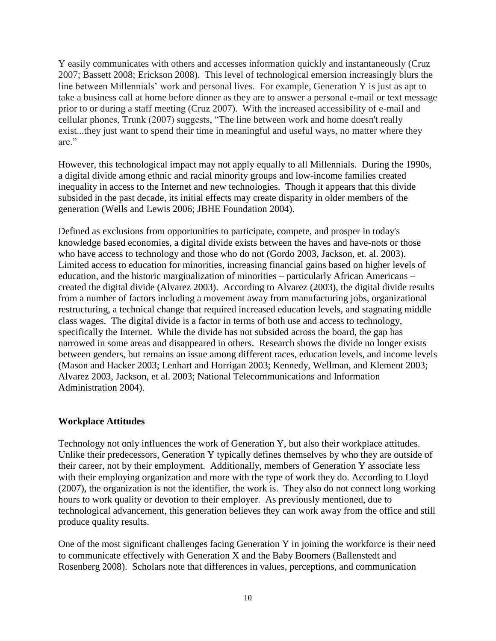Y easily communicates with others and accesses information quickly and instantaneously (Cruz 2007; Bassett 2008; Erickson 2008). This level of technological emersion increasingly blurs the line between Millennials' work and personal lives. For example, Generation Y is just as apt to take a business call at home before dinner as they are to answer a personal e-mail or text message prior to or during a staff meeting (Cruz 2007). With the increased accessibility of e-mail and cellular phones, Trunk (2007) suggests, "The line between work and home doesn't really exist...they just want to spend their time in meaningful and useful ways, no matter where they are."

However, this technological impact may not apply equally to all Millennials. During the 1990s, a digital divide among ethnic and racial minority groups and low-income families created inequality in access to the Internet and new technologies. Though it appears that this divide subsided in the past decade, its initial effects may create disparity in older members of the generation (Wells and Lewis 2006; JBHE Foundation 2004).

Defined as exclusions from opportunities to participate, compete, and prosper in today's knowledge based economies, a digital divide exists between the haves and have-nots or those who have access to technology and those who do not (Gordo 2003, Jackson, et. al. 2003). Limited access to education for minorities, increasing financial gains based on higher levels of education, and the historic marginalization of minorities – particularly African Americans – created the digital divide (Alvarez 2003). According to Alvarez (2003), the digital divide results from a number of factors including a movement away from manufacturing jobs, organizational restructuring, a technical change that required increased education levels, and stagnating middle class wages. The digital divide is a factor in terms of both use and access to technology, specifically the Internet. While the divide has not subsided across the board, the gap has narrowed in some areas and disappeared in others. Research shows the divide no longer exists between genders, but remains an issue among different races, education levels, and income levels (Mason and Hacker 2003; Lenhart and Horrigan 2003; Kennedy, Wellman, and Klement 2003; Alvarez 2003, Jackson, et al. 2003; National Telecommunications and Information Administration 2004).

#### **Workplace Attitudes**

Technology not only influences the work of Generation Y, but also their workplace attitudes. Unlike their predecessors, Generation Y typically defines themselves by who they are outside of their career, not by their employment. Additionally, members of Generation Y associate less with their employing organization and more with the type of work they do. According to Lloyd (2007), the organization is not the identifier, the work is. They also do not connect long working hours to work quality or devotion to their employer. As previously mentioned, due to technological advancement, this generation believes they can work away from the office and still produce quality results.

One of the most significant challenges facing Generation Y in joining the workforce is their need to communicate effectively with Generation X and the Baby Boomers (Ballenstedt and Rosenberg 2008). Scholars note that differences in values, perceptions, and communication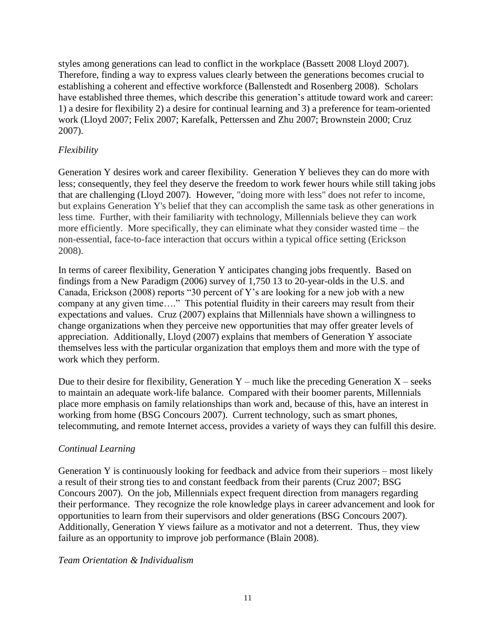styles among generations can lead to conflict in the workplace (Bassett 2008 Lloyd 2007). Therefore, finding a way to express values clearly between the generations becomes crucial to establishing a coherent and effective workforce (Ballenstedt and Rosenberg 2008). Scholars have established three themes, which describe this generation's attitude toward work and career: 1) a desire for flexibility 2) a desire for continual learning and 3) a preference for team-oriented work (Lloyd 2007; Felix 2007; Karefalk, Petterssen and Zhu 2007; Brownstein 2000; Cruz 2007).

## *Flexibility*

Generation Y desires work and career flexibility. Generation Y believes they can do more with less; consequently, they feel they deserve the freedom to work fewer hours while still taking jobs that are challenging (Lloyd 2007). However, "doing more with less" does not refer to income, but explains Generation Y's belief that they can accomplish the same task as other generations in less time. Further, with their familiarity with technology, Millennials believe they can work more efficiently. More specifically, they can eliminate what they consider wasted time – the non-essential, face-to-face interaction that occurs within a typical office setting (Erickson 2008).

In terms of career flexibility, Generation Y anticipates changing jobs frequently. Based on findings from a New Paradigm (2006) survey of 1,750 13 to 20-year-olds in the U.S. and Canada, Erickson (2008) reports  $-30$  percent of Y's are looking for a new job with a new company at any given time...." This potential fluidity in their careers may result from their expectations and values. Cruz (2007) explains that Millennials have shown a willingness to change organizations when they perceive new opportunities that may offer greater levels of appreciation. Additionally, Lloyd (2007) explains that members of Generation Y associate themselves less with the particular organization that employs them and more with the type of work which they perform.

Due to their desire for flexibility, Generation Y – much like the preceding Generation  $X$  – seeks to maintain an adequate work-life balance. Compared with their boomer parents, Millennials place more emphasis on family relationships than work and, because of this, have an interest in working from home (BSG Concours 2007). Current technology, such as smart phones, telecommuting, and remote Internet access, provides a variety of ways they can fulfill this desire.

## *Continual Learning*

Generation Y is continuously looking for feedback and advice from their superiors – most likely a result of their strong ties to and constant feedback from their parents (Cruz 2007; BSG Concours 2007). On the job, Millennials expect frequent direction from managers regarding their performance. They recognize the role knowledge plays in career advancement and look for opportunities to learn from their supervisors and older generations (BSG Concours 2007). Additionally, Generation Y views failure as a motivator and not a deterrent. Thus, they view failure as an opportunity to improve job performance (Blain 2008).

## *Team Orientation & Individualism*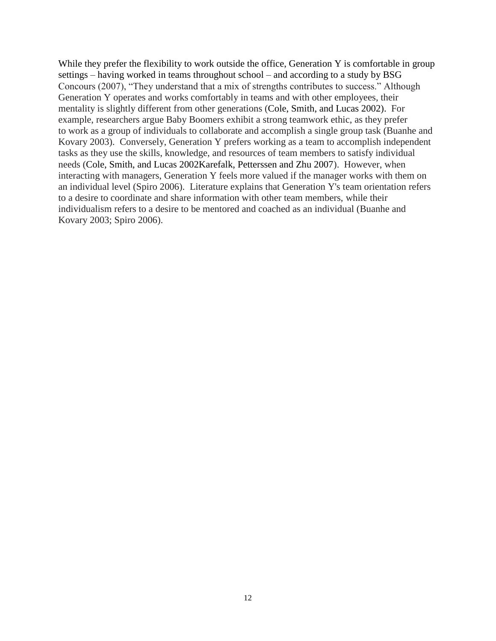While they prefer the flexibility to work outside the office, Generation Y is comfortable in group settings – having worked in teams throughout school – and according to a study by BSG Concours (2007), "They understand that a mix of strengths contributes to success." Although Generation Y operates and works comfortably in teams and with other employees, their mentality is slightly different from other generations (Cole, Smith, and Lucas 2002). For example, researchers argue Baby Boomers exhibit a strong teamwork ethic, as they prefer to work as a group of individuals to collaborate and accomplish a single group task (Buanhe and Kovary 2003). Conversely, Generation Y prefers working as a team to accomplish independent tasks as they use the skills, knowledge, and resources of team members to satisfy individual needs (Cole, Smith, and Lucas 2002Karefalk, Petterssen and Zhu 2007). However, when interacting with managers, Generation Y feels more valued if the manager works with them on an individual level (Spiro 2006). Literature explains that Generation Y's team orientation refers to a desire to coordinate and share information with other team members, while their individualism refers to a desire to be mentored and coached as an individual (Buanhe and Kovary 2003; Spiro 2006).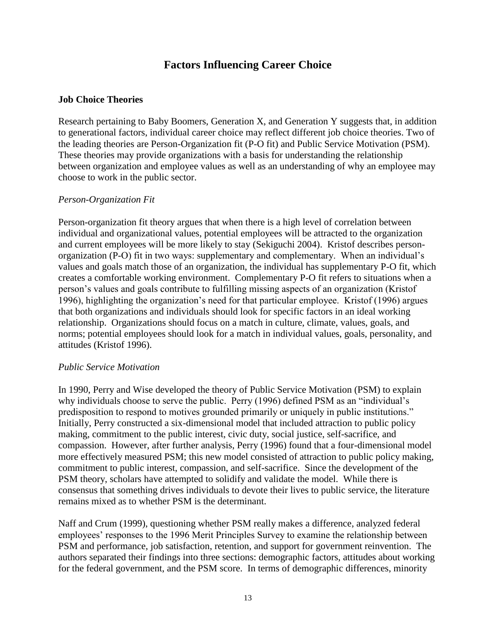# **Factors Influencing Career Choice**

#### **Job Choice Theories**

Research pertaining to Baby Boomers, Generation X, and Generation Y suggests that, in addition to generational factors, individual career choice may reflect different job choice theories. Two of the leading theories are Person-Organization fit (P-O fit) and Public Service Motivation (PSM). These theories may provide organizations with a basis for understanding the relationship between organization and employee values as well as an understanding of why an employee may choose to work in the public sector.

#### *Person-Organization Fit*

Person-organization fit theory argues that when there is a high level of correlation between individual and organizational values, potential employees will be attracted to the organization and current employees will be more likely to stay (Sekiguchi 2004). Kristof describes personorganization (P-O) fit in two ways: supplementary and complementary. When an individual's values and goals match those of an organization, the individual has supplementary P-O fit, which creates a comfortable working environment. Complementary P-O fit refers to situations when a person's values and goals contribute to fulfilling missing aspects of an organization (Kristof 1996), highlighting the organization's need for that particular employee. Kristof (1996) argues that both organizations and individuals should look for specific factors in an ideal working relationship. Organizations should focus on a match in culture, climate, values, goals, and norms; potential employees should look for a match in individual values, goals, personality, and attitudes (Kristof 1996).

#### *Public Service Motivation*

In 1990, Perry and Wise developed the theory of Public Service Motivation (PSM) to explain why individuals choose to serve the public. Perry (1996) defined PSM as an "individual's predisposition to respond to motives grounded primarily or uniquely in public institutions." Initially, Perry constructed a six-dimensional model that included attraction to public policy making, commitment to the public interest, civic duty, social justice, self-sacrifice, and compassion. However, after further analysis, Perry (1996) found that a four-dimensional model more effectively measured PSM; this new model consisted of attraction to public policy making, commitment to public interest, compassion, and self-sacrifice. Since the development of the PSM theory, scholars have attempted to solidify and validate the model. While there is consensus that something drives individuals to devote their lives to public service, the literature remains mixed as to whether PSM is the determinant.

Naff and Crum (1999), questioning whether PSM really makes a difference, analyzed federal employees' responses to the 1996 Merit Principles Survey to examine the relationship between PSM and performance, job satisfaction, retention, and support for government reinvention. The authors separated their findings into three sections: demographic factors, attitudes about working for the federal government, and the PSM score. In terms of demographic differences, minority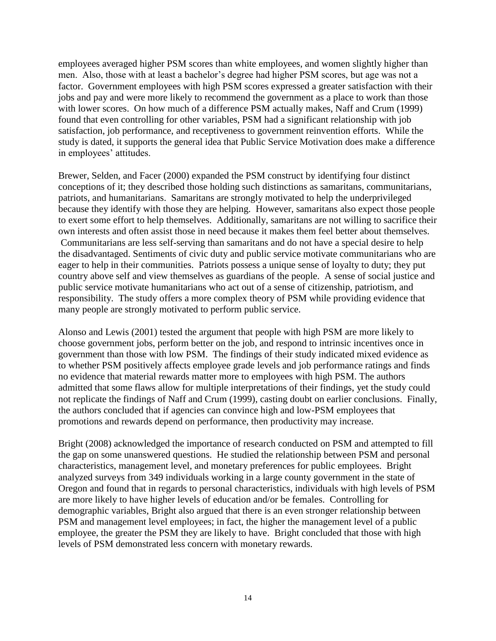employees averaged higher PSM scores than white employees, and women slightly higher than men. Also, those with at least a bachelor's degree had higher PSM scores, but age was not a factor. Government employees with high PSM scores expressed a greater satisfaction with their jobs and pay and were more likely to recommend the government as a place to work than those with lower scores. On how much of a difference PSM actually makes, Naff and Crum (1999) found that even controlling for other variables, PSM had a significant relationship with job satisfaction, job performance, and receptiveness to government reinvention efforts. While the study is dated, it supports the general idea that Public Service Motivation does make a difference in employees' attitudes.

Brewer, Selden, and Facer (2000) expanded the PSM construct by identifying four distinct conceptions of it; they described those holding such distinctions as samaritans, communitarians, patriots, and humanitarians. Samaritans are strongly motivated to help the underprivileged because they identify with those they are helping. However, samaritans also expect those people to exert some effort to help themselves. Additionally, samaritans are not willing to sacrifice their own interests and often assist those in need because it makes them feel better about themselves. Communitarians are less self-serving than samaritans and do not have a special desire to help the disadvantaged. Sentiments of civic duty and public service motivate communitarians who are eager to help in their communities. Patriots possess a unique sense of loyalty to duty; they put country above self and view themselves as guardians of the people. A sense of social justice and public service motivate humanitarians who act out of a sense of citizenship, patriotism, and responsibility. The study offers a more complex theory of PSM while providing evidence that many people are strongly motivated to perform public service.

Alonso and Lewis (2001) tested the argument that people with high PSM are more likely to choose government jobs, perform better on the job, and respond to intrinsic incentives once in government than those with low PSM. The findings of their study indicated mixed evidence as to whether PSM positively affects employee grade levels and job performance ratings and finds no evidence that material rewards matter more to employees with high PSM. The authors admitted that some flaws allow for multiple interpretations of their findings, yet the study could not replicate the findings of Naff and Crum (1999), casting doubt on earlier conclusions. Finally, the authors concluded that if agencies can convince high and low-PSM employees that promotions and rewards depend on performance, then productivity may increase.

Bright (2008) acknowledged the importance of research conducted on PSM and attempted to fill the gap on some unanswered questions. He studied the relationship between PSM and personal characteristics, management level, and monetary preferences for public employees. Bright analyzed surveys from 349 individuals working in a large county government in the state of Oregon and found that in regards to personal characteristics, individuals with high levels of PSM are more likely to have higher levels of education and/or be females. Controlling for demographic variables, Bright also argued that there is an even stronger relationship between PSM and management level employees; in fact, the higher the management level of a public employee, the greater the PSM they are likely to have. Bright concluded that those with high levels of PSM demonstrated less concern with monetary rewards.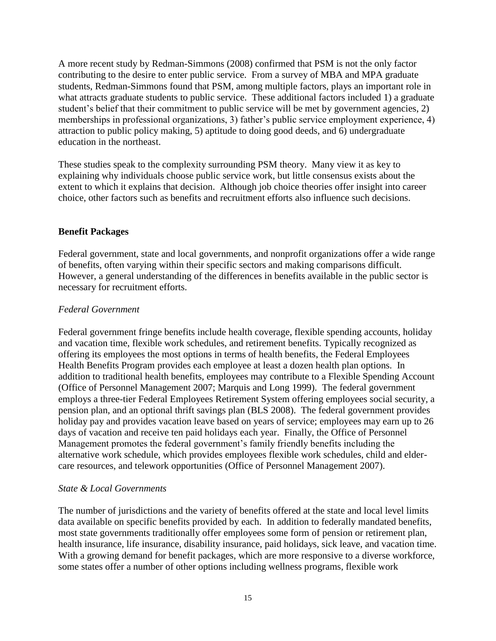A more recent study by Redman-Simmons (2008) confirmed that PSM is not the only factor contributing to the desire to enter public service. From a survey of MBA and MPA graduate students, Redman-Simmons found that PSM, among multiple factors, plays an important role in what attracts graduate students to public service. These additional factors included 1) a graduate student's belief that their commitment to public service will be met by government agencies, 2) memberships in professional organizations, 3) father's public service employment experience, 4) attraction to public policy making, 5) aptitude to doing good deeds, and 6) undergraduate education in the northeast.

These studies speak to the complexity surrounding PSM theory. Many view it as key to explaining why individuals choose public service work, but little consensus exists about the extent to which it explains that decision. Although job choice theories offer insight into career choice, other factors such as benefits and recruitment efforts also influence such decisions.

#### **Benefit Packages**

Federal government, state and local governments, and nonprofit organizations offer a wide range of benefits, often varying within their specific sectors and making comparisons difficult. However, a general understanding of the differences in benefits available in the public sector is necessary for recruitment efforts.

#### *Federal Government*

Federal government fringe benefits include health coverage, flexible spending accounts, holiday and vacation time, flexible work schedules, and retirement benefits. Typically recognized as offering its employees the most options in terms of health benefits, the Federal Employees Health Benefits Program provides each employee at least a dozen health plan options. In addition to traditional health benefits, employees may contribute to a Flexible Spending Account (Office of Personnel Management 2007; Marquis and Long 1999). The federal government employs a three-tier Federal Employees Retirement System offering employees social security, a pension plan, and an optional thrift savings plan (BLS 2008). The federal government provides holiday pay and provides vacation leave based on years of service; employees may earn up to 26 days of vacation and receive ten paid holidays each year. Finally, the Office of Personnel Management promotes the federal government's family friendly benefits including the alternative work schedule, which provides employees flexible work schedules, child and eldercare resources, and telework opportunities (Office of Personnel Management 2007).

#### *State & Local Governments*

The number of jurisdictions and the variety of benefits offered at the state and local level limits data available on specific benefits provided by each. In addition to federally mandated benefits, most state governments traditionally offer employees some form of pension or retirement plan, health insurance, life insurance, disability insurance, paid holidays, sick leave, and vacation time. With a growing demand for benefit packages, which are more responsive to a diverse workforce, some states offer a number of other options including wellness programs, flexible work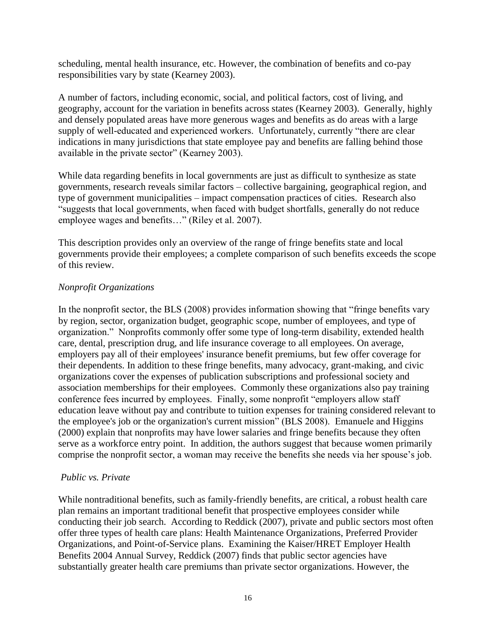scheduling, mental health insurance, etc. However, the combination of benefits and co-pay responsibilities vary by state (Kearney 2003).

A number of factors, including economic, social, and political factors, cost of living, and geography, account for the variation in benefits across states (Kearney 2003). Generally, highly and densely populated areas have more generous wages and benefits as do areas with a large supply of well-educated and experienced workers. Unfortunately, currently "there are clear indications in many jurisdictions that state employee pay and benefits are falling behind those available in the private sector" (Kearney 2003).

While data regarding benefits in local governments are just as difficult to synthesize as state governments, research reveals similar factors – collective bargaining, geographical region, and type of government municipalities – impact compensation practices of cities. Research also ―suggests that local governments, when faced with budget shortfalls, generally do not reduce employee wages and benefits…" (Riley et al. 2007).

This description provides only an overview of the range of fringe benefits state and local governments provide their employees; a complete comparison of such benefits exceeds the scope of this review.

#### *Nonprofit Organizations*

In the nonprofit sector, the BLS  $(2008)$  provides information showing that "fringe benefits vary by region, sector, organization budget, geographic scope, number of employees, and type of organization.‖ Nonprofits commonly offer some type of long-term disability, extended health care, dental, prescription drug, and life insurance coverage to all employees. On average, employers pay all of their employees' insurance benefit premiums, but few offer coverage for their dependents. In addition to these fringe benefits, many advocacy, grant-making, and civic organizations cover the expenses of publication subscriptions and professional society and association memberships for their employees. Commonly these organizations also pay training conference fees incurred by employees. Finally, some nonprofit "employers allow staff" education leave without pay and contribute to tuition expenses for training considered relevant to the employee's job or the organization's current mission" (BLS 2008). Emanuele and Higgins (2000) explain that nonprofits may have lower salaries and fringe benefits because they often serve as a workforce entry point. In addition, the authors suggest that because women primarily comprise the nonprofit sector, a woman may receive the benefits she needs via her spouse's job.

#### *Public vs. Private*

While nontraditional benefits, such as family-friendly benefits, are critical, a robust health care plan remains an important traditional benefit that prospective employees consider while conducting their job search. According to Reddick (2007), private and public sectors most often offer three types of health care plans: Health Maintenance Organizations, Preferred Provider Organizations, and Point-of-Service plans. Examining the Kaiser/HRET Employer Health Benefits 2004 Annual Survey, Reddick (2007) finds that public sector agencies have substantially greater health care premiums than private sector organizations. However, the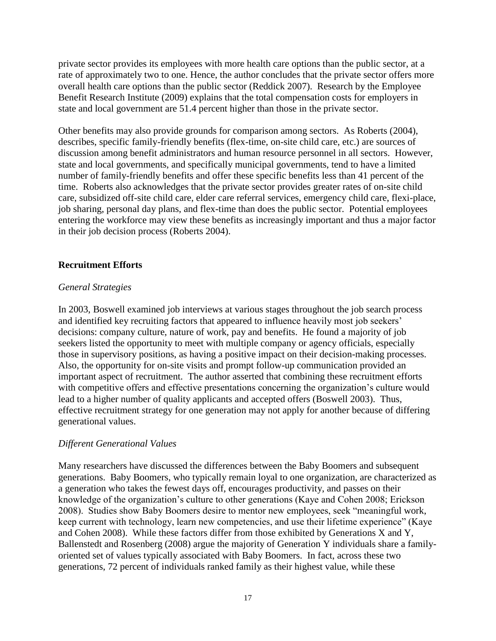private sector provides its employees with more health care options than the public sector, at a rate of approximately two to one. Hence, the author concludes that the private sector offers more overall health care options than the public sector (Reddick 2007). Research by the Employee Benefit Research Institute (2009) explains that the total compensation costs for employers in state and local government are 51.4 percent higher than those in the private sector.

Other benefits may also provide grounds for comparison among sectors. As Roberts (2004), describes, specific family-friendly benefits (flex-time, on-site child care, etc.) are sources of discussion among benefit administrators and human resource personnel in all sectors. However, state and local governments, and specifically municipal governments, tend to have a limited number of family-friendly benefits and offer these specific benefits less than 41 percent of the time. Roberts also acknowledges that the private sector provides greater rates of on-site child care, subsidized off-site child care, elder care referral services, emergency child care, flexi-place, job sharing, personal day plans, and flex-time than does the public sector. Potential employees entering the workforce may view these benefits as increasingly important and thus a major factor in their job decision process (Roberts 2004).

#### **Recruitment Efforts**

#### *General Strategies*

In 2003, Boswell examined job interviews at various stages throughout the job search process and identified key recruiting factors that appeared to influence heavily most job seekers' decisions: company culture, nature of work, pay and benefits. He found a majority of job seekers listed the opportunity to meet with multiple company or agency officials, especially those in supervisory positions, as having a positive impact on their decision-making processes. Also, the opportunity for on-site visits and prompt follow-up communication provided an important aspect of recruitment. The author asserted that combining these recruitment efforts with competitive offers and effective presentations concerning the organization's culture would lead to a higher number of quality applicants and accepted offers (Boswell 2003). Thus, effective recruitment strategy for one generation may not apply for another because of differing generational values.

#### *Different Generational Values*

Many researchers have discussed the differences between the Baby Boomers and subsequent generations. Baby Boomers, who typically remain loyal to one organization, are characterized as a generation who takes the fewest days off, encourages productivity, and passes on their knowledge of the organization's culture to other generations (Kaye and Cohen 2008; Erickson 2008). Studies show Baby Boomers desire to mentor new employees, seek "meaningful work, keep current with technology, learn new competencies, and use their lifetime experience" (Kaye and Cohen 2008). While these factors differ from those exhibited by Generations X and Y, Ballenstedt and Rosenberg (2008) argue the majority of Generation Y individuals share a familyoriented set of values typically associated with Baby Boomers. In fact, across these two generations, 72 percent of individuals ranked family as their highest value, while these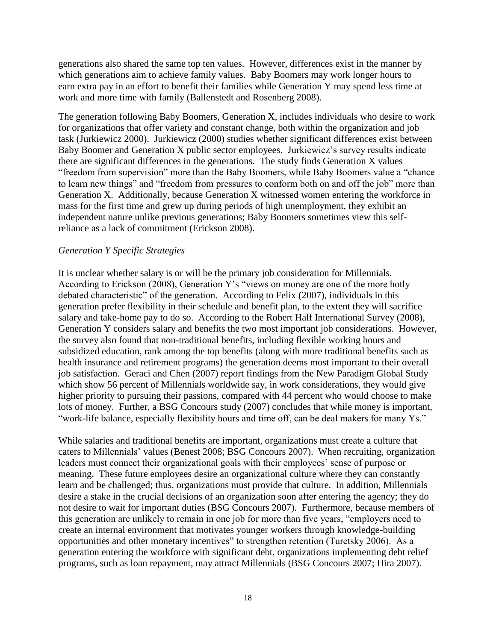generations also shared the same top ten values. However, differences exist in the manner by which generations aim to achieve family values. Baby Boomers may work longer hours to earn extra pay in an effort to benefit their families while Generation Y may spend less time at work and more time with family (Ballenstedt and Rosenberg 2008).

The generation following Baby Boomers, Generation X, includes individuals who desire to work for organizations that offer variety and constant change, both within the organization and job task (Jurkiewicz 2000). Jurkiewicz (2000) studies whether significant differences exist between Baby Boomer and Generation X public sector employees. Jurkiewicz's survey results indicate there are significant differences in the generations. The study finds Generation X values "freedom from supervision" more than the Baby Boomers, while Baby Boomers value a "chance" to learn new things" and "freedom from pressures to conform both on and off the job" more than Generation X. Additionally, because Generation X witnessed women entering the workforce in mass for the first time and grew up during periods of high unemployment, they exhibit an independent nature unlike previous generations; Baby Boomers sometimes view this selfreliance as a lack of commitment (Erickson 2008).

#### *Generation Y Specific Strategies*

It is unclear whether salary is or will be the primary job consideration for Millennials. According to Erickson  $(2008)$ , Generation Y's "views on money are one of the more hotly debated characteristic" of the generation. According to Felix (2007), individuals in this generation prefer flexibility in their schedule and benefit plan, to the extent they will sacrifice salary and take-home pay to do so. According to the Robert Half International Survey (2008), Generation Y considers salary and benefits the two most important job considerations. However, the survey also found that non-traditional benefits, including flexible working hours and subsidized education, rank among the top benefits (along with more traditional benefits such as health insurance and retirement programs) the generation deems most important to their overall job satisfaction. Geraci and Chen (2007) report findings from the New Paradigm Global Study which show 56 percent of Millennials worldwide say, in work considerations, they would give higher priority to pursuing their passions, compared with 44 percent who would choose to make lots of money. Further, a BSG Concours study (2007) concludes that while money is important, "work-life balance, especially flexibility hours and time off, can be deal makers for many Ys."

While salaries and traditional benefits are important, organizations must create a culture that caters to Millennials' values (Benest 2008; BSG Concours 2007). When recruiting, organization leaders must connect their organizational goals with their employees' sense of purpose or meaning. These future employees desire an organizational culture where they can constantly learn and be challenged; thus, organizations must provide that culture. In addition, Millennials desire a stake in the crucial decisions of an organization soon after entering the agency; they do not desire to wait for important duties (BSG Concours 2007). Furthermore, because members of this generation are unlikely to remain in one job for more than five years, "employers need to create an internal environment that motivates younger workers through knowledge-building opportunities and other monetary incentives" to strengthen retention (Turetsky 2006). As a generation entering the workforce with significant debt, organizations implementing debt relief programs, such as loan repayment, may attract Millennials (BSG Concours 2007; Hira 2007).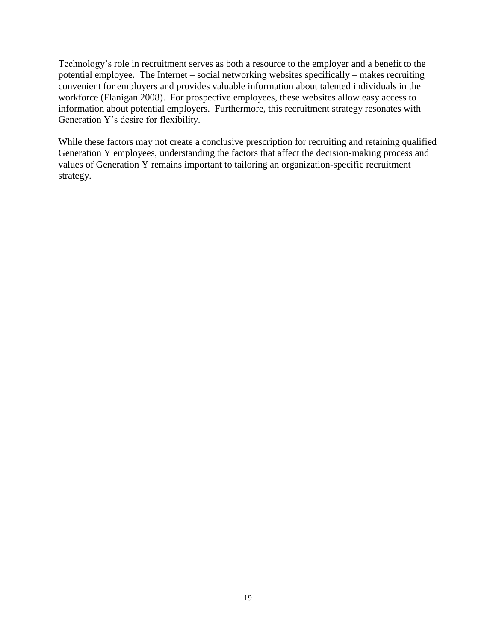Technology's role in recruitment serves as both a resource to the employer and a benefit to the potential employee. The Internet – social networking websites specifically – makes recruiting convenient for employers and provides valuable information about talented individuals in the workforce (Flanigan 2008). For prospective employees, these websites allow easy access to information about potential employers. Furthermore, this recruitment strategy resonates with Generation Y's desire for flexibility.

While these factors may not create a conclusive prescription for recruiting and retaining qualified Generation Y employees, understanding the factors that affect the decision-making process and values of Generation Y remains important to tailoring an organization-specific recruitment strategy.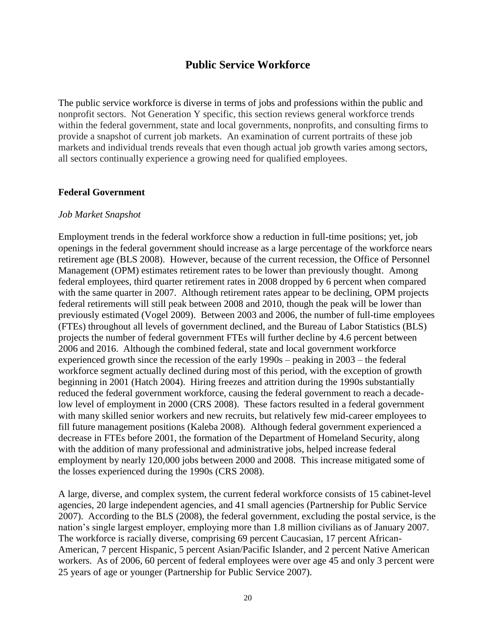## **Public Service Workforce**

The public service workforce is diverse in terms of jobs and professions within the public and nonprofit sectors. Not Generation Y specific, this section reviews general workforce trends within the federal government, state and local governments, nonprofits, and consulting firms to provide a snapshot of current job markets. An examination of current portraits of these job markets and individual trends reveals that even though actual job growth varies among sectors, all sectors continually experience a growing need for qualified employees.

#### **Federal Government**

#### *Job Market Snapshot*

Employment trends in the federal workforce show a reduction in full-time positions; yet, job openings in the federal government should increase as a large percentage of the workforce nears retirement age (BLS 2008). However, because of the current recession, the Office of Personnel Management (OPM) estimates retirement rates to be lower than previously thought. Among federal employees, third quarter retirement rates in 2008 dropped by 6 percent when compared with the same quarter in 2007. Although retirement rates appear to be declining, OPM projects federal retirements will still peak between 2008 and 2010, though the peak will be lower than previously estimated (Vogel 2009). Between 2003 and 2006, the number of full-time employees (FTEs) throughout all levels of government declined, and the Bureau of Labor Statistics (BLS) projects the number of federal government FTEs will further decline by 4.6 percent between 2006 and 2016. Although the combined federal, state and local government workforce experienced growth since the recession of the early 1990s – peaking in 2003 – the federal workforce segment actually declined during most of this period, with the exception of growth beginning in 2001 (Hatch 2004). Hiring freezes and attrition during the 1990s substantially reduced the federal government workforce, causing the federal government to reach a decadelow level of employment in 2000 (CRS 2008). These factors resulted in a federal government with many skilled senior workers and new recruits, but relatively few mid-career employees to fill future management positions (Kaleba 2008). Although federal government experienced a decrease in FTEs before 2001, the formation of the Department of Homeland Security, along with the addition of many professional and administrative jobs, helped increase federal employment by nearly 120,000 jobs between 2000 and 2008. This increase mitigated some of the losses experienced during the 1990s (CRS 2008).

A large, diverse, and complex system, the current federal workforce consists of 15 cabinet-level agencies, 20 large independent agencies, and 41 small agencies (Partnership for Public Service 2007). According to the BLS (2008), the federal government, excluding the postal service, is the nation's single largest employer, employing more than 1.8 million civilians as of January 2007. The workforce is racially diverse, comprising 69 percent Caucasian, 17 percent African-American, 7 percent Hispanic, 5 percent Asian/Pacific Islander, and 2 percent Native American workers. As of 2006, 60 percent of federal employees were over age 45 and only 3 percent were 25 years of age or younger (Partnership for Public Service 2007).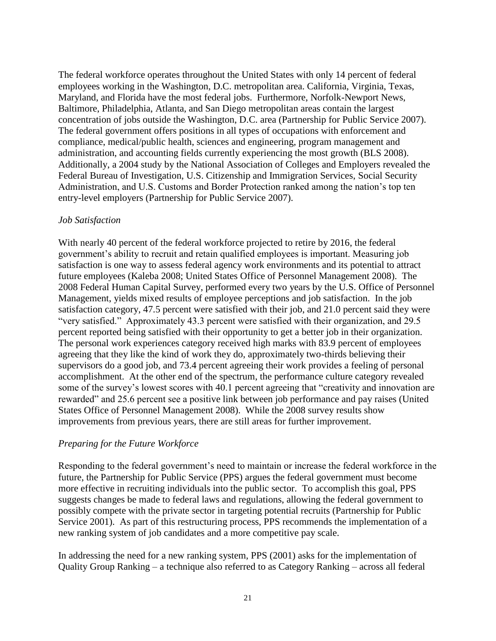The federal workforce operates throughout the United States with only 14 percent of federal employees working in the Washington, D.C. metropolitan area. California, Virginia, Texas, Maryland, and Florida have the most federal jobs. Furthermore, Norfolk-Newport News, Baltimore, Philadelphia, Atlanta, and San Diego metropolitan areas contain the largest concentration of jobs outside the Washington, D.C. area (Partnership for Public Service 2007). The federal government offers positions in all types of occupations with enforcement and compliance, medical/public health, sciences and engineering, program management and administration, and accounting fields currently experiencing the most growth (BLS 2008). Additionally, a 2004 study by the National Association of Colleges and Employers revealed the Federal Bureau of Investigation, U.S. Citizenship and Immigration Services, Social Security Administration, and U.S. Customs and Border Protection ranked among the nation's top ten entry-level employers (Partnership for Public Service 2007).

#### *Job Satisfaction*

With nearly 40 percent of the federal workforce projected to retire by 2016, the federal government's ability to recruit and retain qualified employees is important. Measuring job satisfaction is one way to assess federal agency work environments and its potential to attract future employees (Kaleba 2008; United States Office of Personnel Management 2008). The 2008 Federal Human Capital Survey, performed every two years by the U.S. Office of Personnel Management, yields mixed results of employee perceptions and job satisfaction. In the job satisfaction category, 47.5 percent were satisfied with their job, and 21.0 percent said they were "very satisfied." Approximately 43.3 percent were satisfied with their organization, and 29.5 percent reported being satisfied with their opportunity to get a better job in their organization. The personal work experiences category received high marks with 83.9 percent of employees agreeing that they like the kind of work they do, approximately two-thirds believing their supervisors do a good job, and 73.4 percent agreeing their work provides a feeling of personal accomplishment. At the other end of the spectrum, the performance culture category revealed some of the survey's lowest scores with 40.1 percent agreeing that "creativity and innovation are rewarded" and 25.6 percent see a positive link between job performance and pay raises (United States Office of Personnel Management 2008). While the 2008 survey results show improvements from previous years, there are still areas for further improvement.

#### *Preparing for the Future Workforce*

Responding to the federal government's need to maintain or increase the federal workforce in the future, the Partnership for Public Service (PPS) argues the federal government must become more effective in recruiting individuals into the public sector. To accomplish this goal, PPS suggests changes be made to federal laws and regulations, allowing the federal government to possibly compete with the private sector in targeting potential recruits (Partnership for Public Service 2001). As part of this restructuring process, PPS recommends the implementation of a new ranking system of job candidates and a more competitive pay scale.

In addressing the need for a new ranking system, PPS (2001) asks for the implementation of Quality Group Ranking – a technique also referred to as Category Ranking – across all federal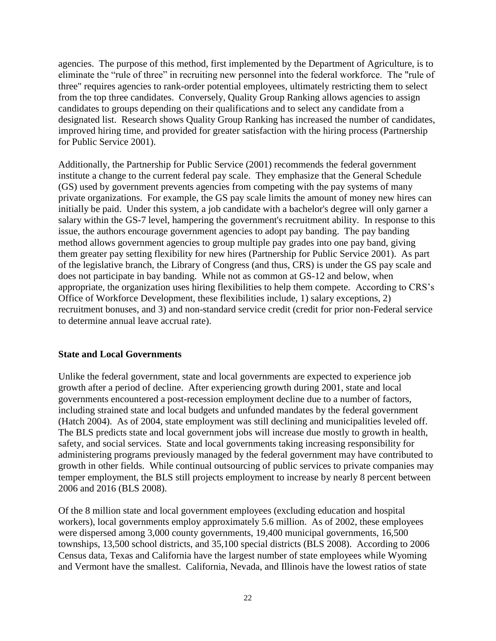agencies. The purpose of this method, first implemented by the Department of Agriculture, is to eliminate the "rule of three" in recruiting new personnel into the federal workforce. The "rule of three" requires agencies to rank-order potential employees, ultimately restricting them to select from the top three candidates. Conversely, Quality Group Ranking allows agencies to assign candidates to groups depending on their qualifications and to select any candidate from a designated list. Research shows Quality Group Ranking has increased the number of candidates, improved hiring time, and provided for greater satisfaction with the hiring process (Partnership for Public Service 2001).

Additionally, the Partnership for Public Service (2001) recommends the federal government institute a change to the current federal pay scale. They emphasize that the General Schedule (GS) used by government prevents agencies from competing with the pay systems of many private organizations. For example, the GS pay scale limits the amount of money new hires can initially be paid. Under this system, a job candidate with a bachelor's degree will only garner a salary within the GS-7 level, hampering the government's recruitment ability. In response to this issue, the authors encourage government agencies to adopt pay banding. The pay banding method allows government agencies to group multiple pay grades into one pay band, giving them greater pay setting flexibility for new hires (Partnership for Public Service 2001). As part of the legislative branch, the Library of Congress (and thus, CRS) is under the GS pay scale and does not participate in bay banding. While not as common at GS-12 and below, when appropriate, the organization uses hiring flexibilities to help them compete. According to CRS's Office of Workforce Development, these flexibilities include, 1) salary exceptions, 2) recruitment bonuses, and 3) and non-standard service credit (credit for prior non-Federal service to determine annual leave accrual rate).

#### **State and Local Governments**

Unlike the federal government, state and local governments are expected to experience job growth after a period of decline. After experiencing growth during 2001, state and local governments encountered a post-recession employment decline due to a number of factors, including strained state and local budgets and unfunded mandates by the federal government (Hatch 2004). As of 2004, state employment was still declining and municipalities leveled off. The BLS predicts state and local government jobs will increase due mostly to growth in health, safety, and social services. State and local governments taking increasing responsibility for administering programs previously managed by the federal government may have contributed to growth in other fields. While continual outsourcing of public services to private companies may temper employment, the BLS still projects employment to increase by nearly 8 percent between 2006 and 2016 (BLS 2008).

Of the 8 million state and local government employees (excluding education and hospital workers), local governments employ approximately 5.6 million. As of 2002, these employees were dispersed among 3,000 county governments, 19,400 municipal governments, 16,500 townships, 13,500 school districts, and 35,100 special districts (BLS 2008). According to 2006 Census data, Texas and California have the largest number of state employees while Wyoming and Vermont have the smallest. California, Nevada, and Illinois have the lowest ratios of state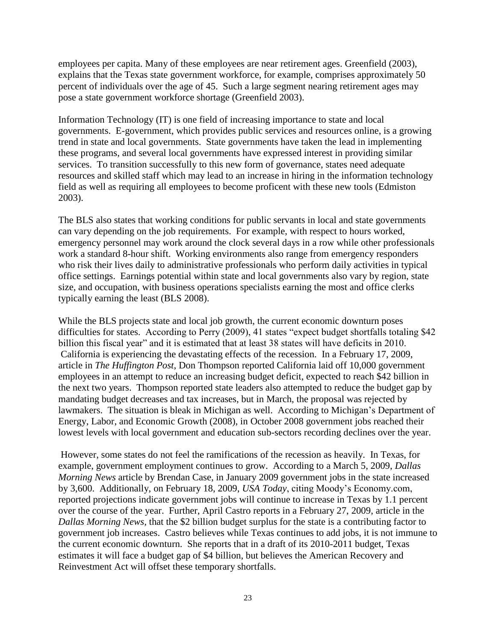employees per capita. Many of these employees are near retirement ages. Greenfield (2003), explains that the Texas state government workforce, for example, comprises approximately 50 percent of individuals over the age of 45. Such a large segment nearing retirement ages may pose a state government workforce shortage (Greenfield 2003).

Information Technology (IT) is one field of increasing importance to state and local governments. E-government, which provides public services and resources online, is a growing trend in state and local governments. State governments have taken the lead in implementing these programs, and several local governments have expressed interest in providing similar services. To transition successfully to this new form of governance, states need adequate resources and skilled staff which may lead to an increase in hiring in the information technology field as well as requiring all employees to become proficent with these new tools (Edmiston 2003).

The BLS also states that working conditions for public servants in local and state governments can vary depending on the job requirements. For example, with respect to hours worked, emergency personnel may work around the clock several days in a row while other professionals work a standard 8-hour shift. Working environments also range from emergency responders who risk their lives daily to administrative professionals who perform daily activities in typical office settings. Earnings potential within state and local governments also vary by region, state size, and occupation, with business operations specialists earning the most and office clerks typically earning the least (BLS 2008).

While the BLS projects state and local job growth, the current economic downturn poses difficulties for states. According to Perry (2009), 41 states "expect budget shortfalls totaling \$42 billion this fiscal year" and it is estimated that at least 38 states will have deficits in 2010. California is experiencing the devastating effects of the recession. In a February 17, 2009, article in *The Huffington Post*, Don Thompson reported California laid off 10,000 government employees in an attempt to reduce an increasing budget deficit, expected to reach \$42 billion in the next two years. Thompson reported state leaders also attempted to reduce the budget gap by mandating budget decreases and tax increases, but in March, the proposal was rejected by lawmakers. The situation is bleak in Michigan as well. According to Michigan's Department of Energy, Labor, and Economic Growth (2008), in October 2008 government jobs reached their lowest levels with local government and education sub-sectors recording declines over the year.

However, some states do not feel the ramifications of the recession as heavily. In Texas, for example, government employment continues to grow. According to a March 5, 2009, *Dallas Morning News* article by Brendan Case, in January 2009 government jobs in the state increased by 3,600. Additionally, on February 18, 2009, *USA Today*, citing Moody's Economy.com, reported projections indicate government jobs will continue to increase in Texas by 1.1 percent over the course of the year. Further, April Castro reports in a February 27, 2009, article in the *Dallas Morning News,* that the \$2 billion budget surplus for the state is a contributing factor to government job increases. Castro believes while Texas continues to add jobs, it is not immune to the current economic downturn. She reports that in a draft of its 2010-2011 budget, Texas estimates it will face a budget gap of \$4 billion, but believes the American Recovery and Reinvestment Act will offset these temporary shortfalls.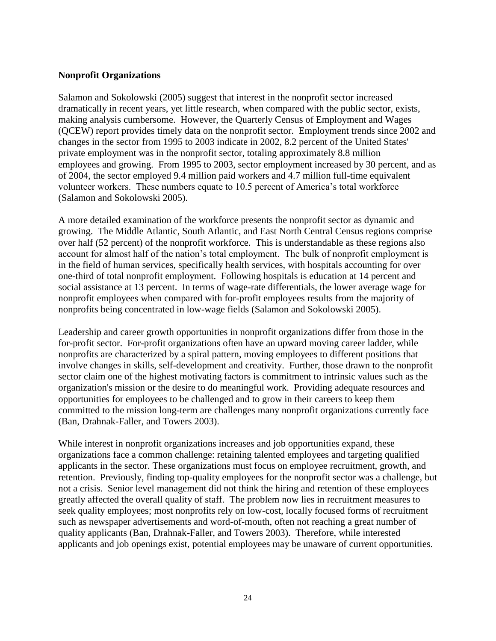#### **Nonprofit Organizations**

Salamon and Sokolowski (2005) suggest that interest in the nonprofit sector increased dramatically in recent years, yet little research, when compared with the public sector, exists, making analysis cumbersome. However, the Quarterly Census of Employment and Wages (QCEW) report provides timely data on the nonprofit sector. Employment trends since 2002 and changes in the sector from 1995 to 2003 indicate in 2002, 8.2 percent of the United States' private employment was in the nonprofit sector, totaling approximately 8.8 million employees and growing. From 1995 to 2003, sector employment increased by 30 percent, and as of 2004, the sector employed 9.4 million paid workers and 4.7 million full-time equivalent volunteer workers. These numbers equate to 10.5 percent of America's total workforce (Salamon and Sokolowski 2005).

A more detailed examination of the workforce presents the nonprofit sector as dynamic and growing. The Middle Atlantic, South Atlantic, and East North Central Census regions comprise over half (52 percent) of the nonprofit workforce. This is understandable as these regions also account for almost half of the nation's total employment. The bulk of nonprofit employment is in the field of human services, specifically health services, with hospitals accounting for over one-third of total nonprofit employment. Following hospitals is education at 14 percent and social assistance at 13 percent. In terms of wage-rate differentials, the lower average wage for nonprofit employees when compared with for-profit employees results from the majority of nonprofits being concentrated in low-wage fields (Salamon and Sokolowski 2005).

Leadership and career growth opportunities in nonprofit organizations differ from those in the for-profit sector. For-profit organizations often have an upward moving career ladder, while nonprofits are characterized by a spiral pattern, moving employees to different positions that involve changes in skills, self-development and creativity. Further, those drawn to the nonprofit sector claim one of the highest motivating factors is commitment to intrinsic values such as the organization's mission or the desire to do meaningful work. Providing adequate resources and opportunities for employees to be challenged and to grow in their careers to keep them committed to the mission long-term are challenges many nonprofit organizations currently face (Ban, Drahnak-Faller, and Towers 2003).

While interest in nonprofit organizations increases and job opportunities expand, these organizations face a common challenge: retaining talented employees and targeting qualified applicants in the sector. These organizations must focus on employee recruitment, growth, and retention. Previously, finding top-quality employees for the nonprofit sector was a challenge, but not a crisis. Senior level management did not think the hiring and retention of these employees greatly affected the overall quality of staff. The problem now lies in recruitment measures to seek quality employees; most nonprofits rely on low-cost, locally focused forms of recruitment such as newspaper advertisements and word-of-mouth, often not reaching a great number of quality applicants (Ban, Drahnak-Faller, and Towers 2003). Therefore, while interested applicants and job openings exist, potential employees may be unaware of current opportunities.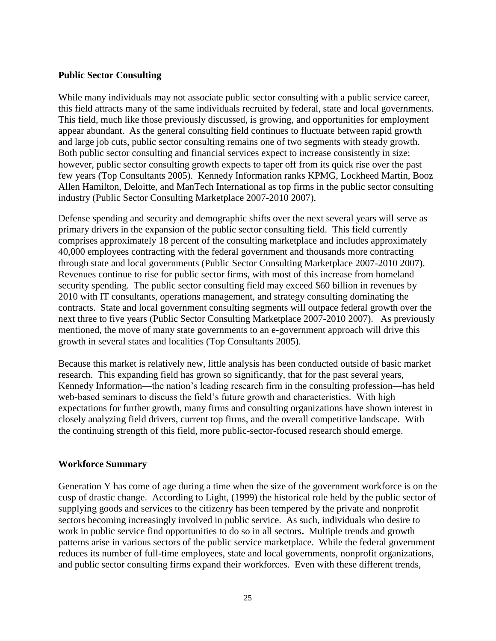#### **Public Sector Consulting**

While many individuals may not associate public sector consulting with a public service career, this field attracts many of the same individuals recruited by federal, state and local governments. This field, much like those previously discussed, is growing, and opportunities for employment appear abundant. As the general consulting field continues to fluctuate between rapid growth and large job cuts, public sector consulting remains one of two segments with steady growth. Both public sector consulting and financial services expect to increase consistently in size; however, public sector consulting growth expects to taper off from its quick rise over the past few years (Top Consultants 2005). Kennedy Information ranks KPMG, Lockheed Martin, Booz Allen Hamilton, Deloitte, and ManTech International as top firms in the public sector consulting industry (Public Sector Consulting Marketplace 2007-2010 2007).

Defense spending and security and demographic shifts over the next several years will serve as primary drivers in the expansion of the public sector consulting field. This field currently comprises approximately 18 percent of the consulting marketplace and includes approximately 40,000 employees contracting with the federal government and thousands more contracting through state and local governments (Public Sector Consulting Marketplace 2007-2010 2007). Revenues continue to rise for public sector firms, with most of this increase from homeland security spending. The public sector consulting field may exceed \$60 billion in revenues by 2010 with IT consultants, operations management, and strategy consulting dominating the contracts. State and local government consulting segments will outpace federal growth over the next three to five years (Public Sector Consulting Marketplace 2007-2010 2007). As previously mentioned, the move of many state governments to an e-government approach will drive this growth in several states and localities (Top Consultants 2005).

Because this market is relatively new, little analysis has been conducted outside of basic market research. This expanding field has grown so significantly, that for the past several years, Kennedy Information—the nation's leading research firm in the consulting profession—has held web-based seminars to discuss the field's future growth and characteristics. With high expectations for further growth, many firms and consulting organizations have shown interest in closely analyzing field drivers, current top firms, and the overall competitive landscape. With the continuing strength of this field, more public-sector-focused research should emerge.

#### **Workforce Summary**

Generation Y has come of age during a time when the size of the government workforce is on the cusp of drastic change. According to Light, (1999) the historical role held by the public sector of supplying goods and services to the citizenry has been tempered by the private and nonprofit sectors becoming increasingly involved in public service. As such, individuals who desire to work in public service find opportunities to do so in all sectors**.** Multiple trends and growth patterns arise in various sectors of the public service marketplace. While the federal government reduces its number of full-time employees, state and local governments, nonprofit organizations, and public sector consulting firms expand their workforces. Even with these different trends,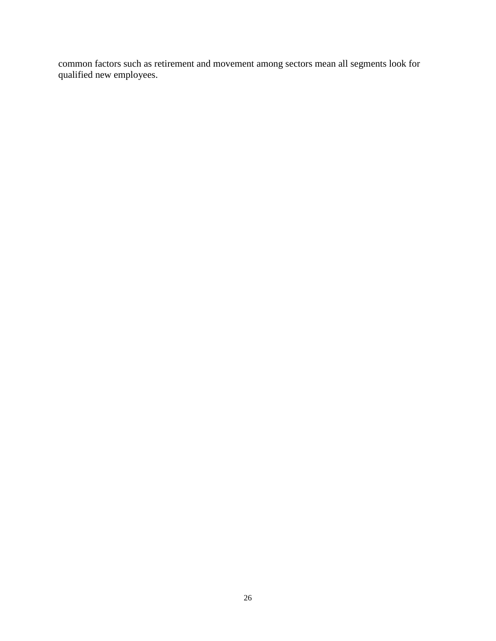common factors such as retirement and movement among sectors mean all segments look for qualified new employees.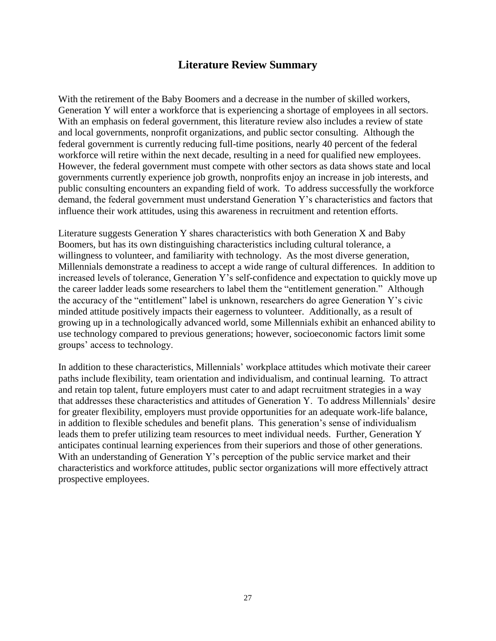# **Literature Review Summary**

With the retirement of the Baby Boomers and a decrease in the number of skilled workers, Generation Y will enter a workforce that is experiencing a shortage of employees in all sectors. With an emphasis on federal government, this literature review also includes a review of state and local governments, nonprofit organizations, and public sector consulting. Although the federal government is currently reducing full-time positions, nearly 40 percent of the federal workforce will retire within the next decade, resulting in a need for qualified new employees. However, the federal government must compete with other sectors as data shows state and local governments currently experience job growth, nonprofits enjoy an increase in job interests, and public consulting encounters an expanding field of work. To address successfully the workforce demand, the federal government must understand Generation Y's characteristics and factors that influence their work attitudes, using this awareness in recruitment and retention efforts.

Literature suggests Generation Y shares characteristics with both Generation X and Baby Boomers, but has its own distinguishing characteristics including cultural tolerance, a willingness to volunteer, and familiarity with technology. As the most diverse generation, Millennials demonstrate a readiness to accept a wide range of cultural differences. In addition to increased levels of tolerance, Generation Y's self-confidence and expectation to quickly move up the career ladder leads some researchers to label them the "entitlement generation." Although the accuracy of the "entitlement" label is unknown, researchers do agree Generation Y's civic minded attitude positively impacts their eagerness to volunteer. Additionally, as a result of growing up in a technologically advanced world, some Millennials exhibit an enhanced ability to use technology compared to previous generations; however, socioeconomic factors limit some groups' access to technology.

In addition to these characteristics, Millennials' workplace attitudes which motivate their career paths include flexibility, team orientation and individualism, and continual learning. To attract and retain top talent, future employers must cater to and adapt recruitment strategies in a way that addresses these characteristics and attitudes of Generation Y. To address Millennials' desire for greater flexibility, employers must provide opportunities for an adequate work-life balance, in addition to flexible schedules and benefit plans. This generation's sense of individualism leads them to prefer utilizing team resources to meet individual needs. Further, Generation Y anticipates continual learning experiences from their superiors and those of other generations. With an understanding of Generation Y's perception of the public service market and their characteristics and workforce attitudes, public sector organizations will more effectively attract prospective employees.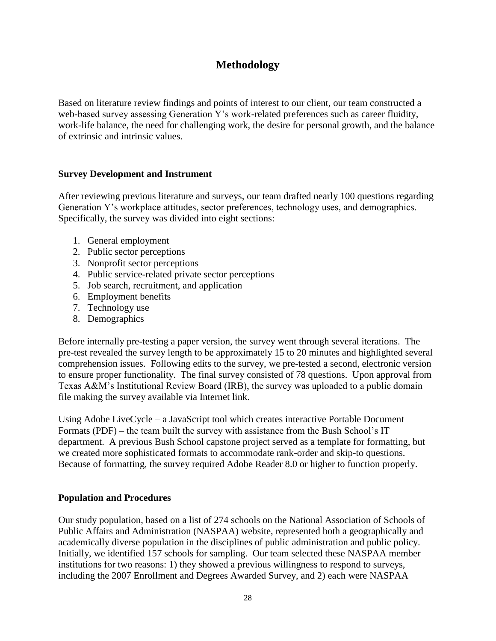# **Methodology**

Based on literature review findings and points of interest to our client, our team constructed a web-based survey assessing Generation Y's work-related preferences such as career fluidity, work-life balance, the need for challenging work, the desire for personal growth, and the balance of extrinsic and intrinsic values.

#### **Survey Development and Instrument**

After reviewing previous literature and surveys, our team drafted nearly 100 questions regarding Generation Y's workplace attitudes, sector preferences, technology uses, and demographics. Specifically, the survey was divided into eight sections:

- 1. General employment
- 2. Public sector perceptions
- 3. Nonprofit sector perceptions
- 4. Public service-related private sector perceptions
- 5. Job search, recruitment, and application
- 6. Employment benefits
- 7. Technology use
- 8. Demographics

Before internally pre-testing a paper version, the survey went through several iterations. The pre-test revealed the survey length to be approximately 15 to 20 minutes and highlighted several comprehension issues. Following edits to the survey, we pre-tested a second, electronic version to ensure proper functionality. The final survey consisted of 78 questions. Upon approval from Texas A&M's Institutional Review Board (IRB), the survey was uploaded to a public domain file making the survey available via Internet link.

Using Adobe LiveCycle – a JavaScript tool which creates interactive Portable Document Formats (PDF) – the team built the survey with assistance from the Bush School's IT department. A previous Bush School capstone project served as a template for formatting, but we created more sophisticated formats to accommodate rank-order and skip-to questions. Because of formatting, the survey required Adobe Reader 8.0 or higher to function properly.

#### **Population and Procedures**

Our study population, based on a list of 274 schools on the National Association of Schools of Public Affairs and Administration (NASPAA) website, represented both a geographically and academically diverse population in the disciplines of public administration and public policy. Initially, we identified 157 schools for sampling. Our team selected these NASPAA member institutions for two reasons: 1) they showed a previous willingness to respond to surveys, including the 2007 Enrollment and Degrees Awarded Survey, and 2) each were NASPAA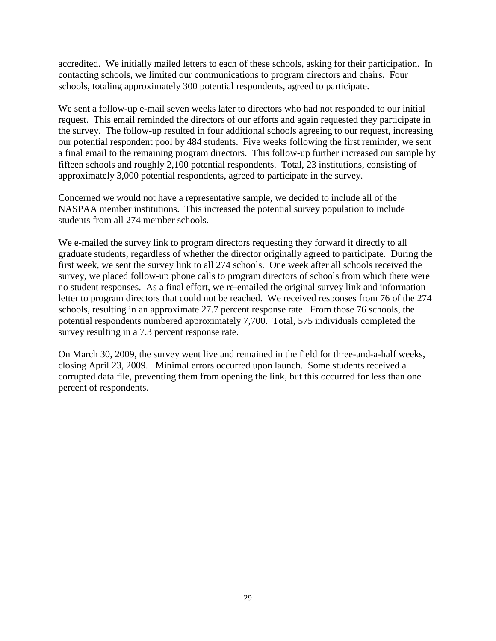accredited. We initially mailed letters to each of these schools, asking for their participation. In contacting schools, we limited our communications to program directors and chairs. Four schools, totaling approximately 300 potential respondents, agreed to participate.

We sent a follow-up e-mail seven weeks later to directors who had not responded to our initial request. This email reminded the directors of our efforts and again requested they participate in the survey. The follow-up resulted in four additional schools agreeing to our request, increasing our potential respondent pool by 484 students. Five weeks following the first reminder, we sent a final email to the remaining program directors. This follow-up further increased our sample by fifteen schools and roughly 2,100 potential respondents. Total, 23 institutions, consisting of approximately 3,000 potential respondents, agreed to participate in the survey.

Concerned we would not have a representative sample, we decided to include all of the NASPAA member institutions. This increased the potential survey population to include students from all 274 member schools.

We e-mailed the survey link to program directors requesting they forward it directly to all graduate students, regardless of whether the director originally agreed to participate. During the first week, we sent the survey link to all 274 schools. One week after all schools received the survey, we placed follow-up phone calls to program directors of schools from which there were no student responses. As a final effort, we re-emailed the original survey link and information letter to program directors that could not be reached. We received responses from 76 of the 274 schools, resulting in an approximate 27.7 percent response rate. From those 76 schools, the potential respondents numbered approximately 7,700. Total, 575 individuals completed the survey resulting in a 7.3 percent response rate.

On March 30, 2009, the survey went live and remained in the field for three-and-a-half weeks, closing April 23, 2009. Minimal errors occurred upon launch. Some students received a corrupted data file, preventing them from opening the link, but this occurred for less than one percent of respondents.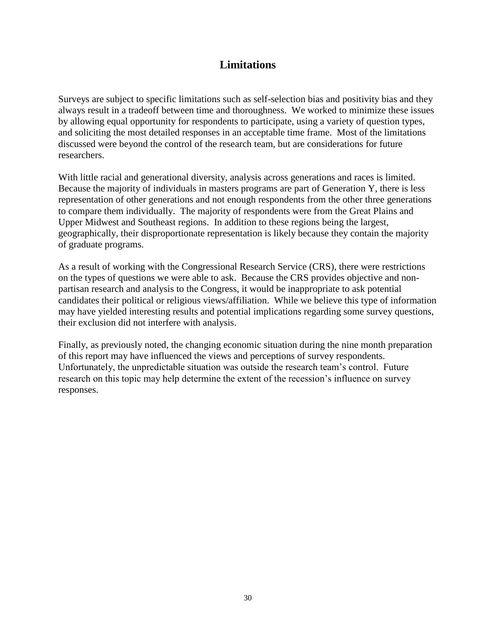# **Limitations**

Surveys are subject to specific limitations such as self-selection bias and positivity bias and they always result in a tradeoff between time and thoroughness. We worked to minimize these issues by allowing equal opportunity for respondents to participate, using a variety of question types, and soliciting the most detailed responses in an acceptable time frame. Most of the limitations discussed were beyond the control of the research team, but are considerations for future researchers.

With little racial and generational diversity, analysis across generations and races is limited. Because the majority of individuals in masters programs are part of Generation Y, there is less representation of other generations and not enough respondents from the other three generations to compare them individually. The majority of respondents were from the Great Plains and Upper Midwest and Southeast regions. In addition to these regions being the largest, geographically, their disproportionate representation is likely because they contain the majority of graduate programs.

As a result of working with the Congressional Research Service (CRS), there were restrictions on the types of questions we were able to ask. Because the CRS provides objective and nonpartisan research and analysis to the Congress, it would be inappropriate to ask potential candidates their political or religious views/affiliation. While we believe this type of information may have yielded interesting results and potential implications regarding some survey questions, their exclusion did not interfere with analysis.

Finally, as previously noted, the changing economic situation during the nine month preparation of this report may have influenced the views and perceptions of survey respondents. Unfortunately, the unpredictable situation was outside the research team's control. Future research on this topic may help determine the extent of the recession's influence on survey responses.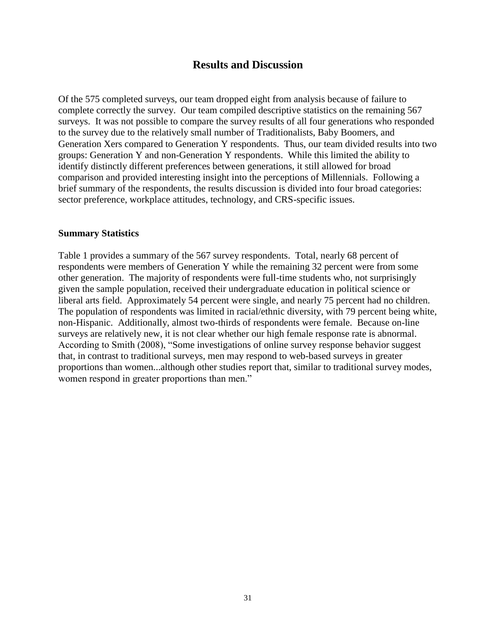## **Results and Discussion**

Of the 575 completed surveys, our team dropped eight from analysis because of failure to complete correctly the survey. Our team compiled descriptive statistics on the remaining 567 surveys. It was not possible to compare the survey results of all four generations who responded to the survey due to the relatively small number of Traditionalists, Baby Boomers, and Generation Xers compared to Generation Y respondents. Thus, our team divided results into two groups: Generation Y and non-Generation Y respondents. While this limited the ability to identify distinctly different preferences between generations, it still allowed for broad comparison and provided interesting insight into the perceptions of Millennials. Following a brief summary of the respondents, the results discussion is divided into four broad categories: sector preference, workplace attitudes, technology, and CRS-specific issues.

#### **Summary Statistics**

Table 1 provides a summary of the 567 survey respondents. Total, nearly 68 percent of respondents were members of Generation Y while the remaining 32 percent were from some other generation. The majority of respondents were full-time students who, not surprisingly given the sample population, received their undergraduate education in political science or liberal arts field. Approximately 54 percent were single, and nearly 75 percent had no children. The population of respondents was limited in racial/ethnic diversity, with 79 percent being white, non-Hispanic. Additionally, almost two-thirds of respondents were female. Because on-line surveys are relatively new, it is not clear whether our high female response rate is abnormal. According to Smith (2008), "Some investigations of online survey response behavior suggest that, in contrast to traditional surveys, men may respond to web-based surveys in greater proportions than women...although other studies report that, similar to traditional survey modes, women respond in greater proportions than men."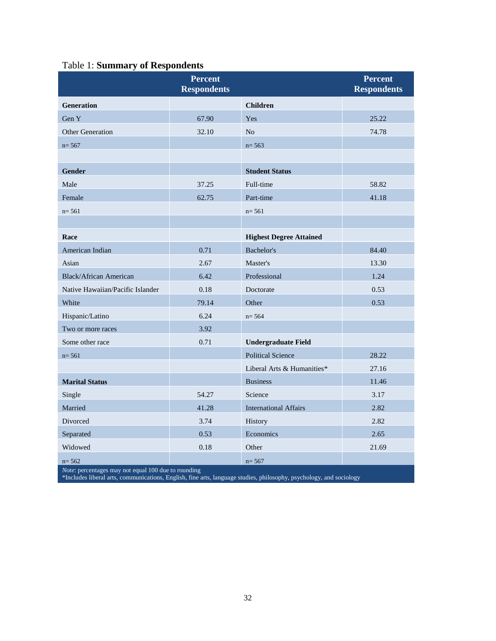|  | <b>Table 1: Summary of Respondents</b> |  |  |
|--|----------------------------------------|--|--|
|--|----------------------------------------|--|--|

|                                                     | <b>Percent</b><br><b>Respondents</b> |                                      | <b>Percent</b><br><b>Respondents</b> |
|-----------------------------------------------------|--------------------------------------|--------------------------------------|--------------------------------------|
| <b>Generation</b>                                   |                                      | <b>Children</b>                      |                                      |
| Gen Y                                               | 67.90                                | Yes                                  | 25.22                                |
| <b>Other Generation</b>                             | 32.10                                | N <sub>o</sub>                       | 74.78                                |
| $n = 567$                                           |                                      | $n = 563$                            |                                      |
|                                                     |                                      |                                      |                                      |
| <b>Gender</b>                                       |                                      | <b>Student Status</b>                |                                      |
| Male                                                | 37.25                                | Full-time                            | 58.82                                |
| Female                                              | 62.75                                | Part-time                            | 41.18                                |
| $n = 561$                                           |                                      | $n = 561$                            |                                      |
|                                                     |                                      |                                      |                                      |
| Race                                                |                                      | <b>Highest Degree Attained</b>       |                                      |
| American Indian                                     | 0.71                                 | Bachelor's                           | 84.40                                |
| Asian                                               | 2.67                                 | Master's                             | 13.30                                |
| <b>Black/African American</b>                       | 6.42                                 | Professional                         | 1.24                                 |
| Native Hawaiian/Pacific Islander                    | 0.18                                 | Doctorate                            | 0.53                                 |
| White                                               | 79.14                                | Other                                | 0.53                                 |
| Hispanic/Latino                                     | 6.24                                 | $n = 564$                            |                                      |
| Two or more races                                   | 3.92                                 |                                      |                                      |
| Some other race                                     | 0.71                                 | <b>Undergraduate Field</b>           |                                      |
| $n = 561$                                           |                                      | <b>Political Science</b>             | 28.22                                |
|                                                     |                                      | Liberal Arts & Humanities*           | 27.16                                |
| <b>Marital Status</b>                               |                                      | <b>Business</b>                      | 11.46                                |
| Single                                              | 54.27                                | Science                              | 3.17                                 |
| Married                                             | 41.28                                | 2.82<br><b>International Affairs</b> |                                      |
| Divorced                                            | 3.74                                 | 2.82<br>History                      |                                      |
| Separated                                           | 0.53                                 | Economics<br>2.65                    |                                      |
| Widowed                                             | 0.18                                 | Other                                | 21.69                                |
| $n = 562$                                           |                                      | $n = 567$                            |                                      |
| Note: percentages may not equal 100 due to rounding |                                      |                                      |                                      |

\*Includes liberal arts, communications, English, fine arts, language studies, philosophy, psychology, and sociology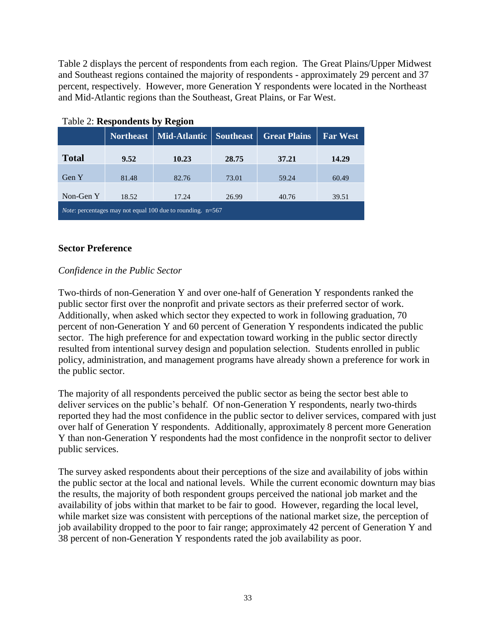Table 2 displays the percent of respondents from each region. The Great Plains/Upper Midwest and Southeast regions contained the majority of respondents - approximately 29 percent and 37 percent, respectively. However, more Generation Y respondents were located in the Northeast and Mid-Atlantic regions than the Southeast, Great Plains, or Far West.

|                                                                     | <b>Northeast</b> | Mid-Atlantic | <b>Southeast</b> | <b>Great Plains</b> | <b>Far West</b> |
|---------------------------------------------------------------------|------------------|--------------|------------------|---------------------|-----------------|
| <b>Total</b>                                                        | 9.52             | 10.23        | 28.75            | 37.21               | 14.29           |
| Gen Y                                                               | 81.48            | 82.76        | 73.01            | 59.24               | 60.49           |
| Non-Gen Y                                                           | 18.52            | 17.24        | 26.99            | 40.76               | 39.51           |
| <i>Note:</i> percentages may not equal 100 due to rounding. $n=567$ |                  |              |                  |                     |                 |

### Table 2: **Respondents by Region**

#### **Sector Preference**

## *Confidence in the Public Sector*

Two-thirds of non-Generation Y and over one-half of Generation Y respondents ranked the public sector first over the nonprofit and private sectors as their preferred sector of work. Additionally, when asked which sector they expected to work in following graduation, 70 percent of non-Generation Y and 60 percent of Generation Y respondents indicated the public sector. The high preference for and expectation toward working in the public sector directly resulted from intentional survey design and population selection. Students enrolled in public policy, administration, and management programs have already shown a preference for work in the public sector.

The majority of all respondents perceived the public sector as being the sector best able to deliver services on the public's behalf. Of non-Generation Y respondents, nearly two-thirds reported they had the most confidence in the public sector to deliver services, compared with just over half of Generation Y respondents. Additionally, approximately 8 percent more Generation Y than non-Generation Y respondents had the most confidence in the nonprofit sector to deliver public services.

The survey asked respondents about their perceptions of the size and availability of jobs within the public sector at the local and national levels. While the current economic downturn may bias the results, the majority of both respondent groups perceived the national job market and the availability of jobs within that market to be fair to good. However, regarding the local level, while market size was consistent with perceptions of the national market size, the perception of job availability dropped to the poor to fair range; approximately 42 percent of Generation Y and 38 percent of non-Generation Y respondents rated the job availability as poor.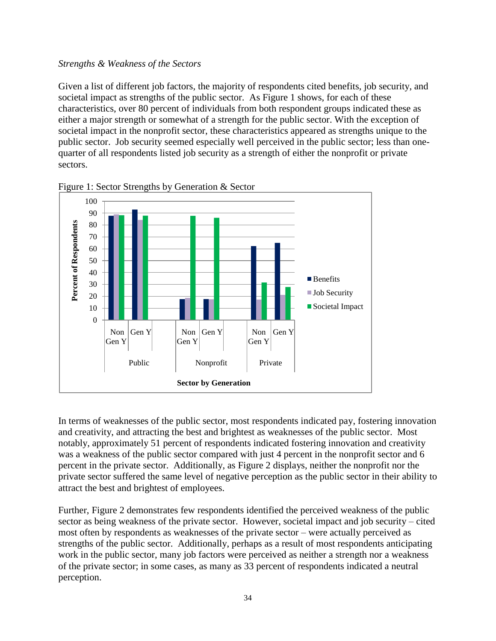#### *Strengths & Weakness of the Sectors*

Given a list of different job factors, the majority of respondents cited benefits, job security, and societal impact as strengths of the public sector. As Figure 1 shows, for each of these characteristics, over 80 percent of individuals from both respondent groups indicated these as either a major strength or somewhat of a strength for the public sector. With the exception of societal impact in the nonprofit sector, these characteristics appeared as strengths unique to the public sector. Job security seemed especially well perceived in the public sector; less than onequarter of all respondents listed job security as a strength of either the nonprofit or private sectors.



Figure 1: Sector Strengths by Generation & Sector

In terms of weaknesses of the public sector, most respondents indicated pay, fostering innovation and creativity, and attracting the best and brightest as weaknesses of the public sector. Most notably, approximately 51 percent of respondents indicated fostering innovation and creativity was a weakness of the public sector compared with just 4 percent in the nonprofit sector and 6 percent in the private sector. Additionally, as Figure 2 displays, neither the nonprofit nor the private sector suffered the same level of negative perception as the public sector in their ability to attract the best and brightest of employees.

Further, Figure 2 demonstrates few respondents identified the perceived weakness of the public sector as being weakness of the private sector. However, societal impact and job security – cited most often by respondents as weaknesses of the private sector – were actually perceived as strengths of the public sector. Additionally, perhaps as a result of most respondents anticipating work in the public sector, many job factors were perceived as neither a strength nor a weakness of the private sector; in some cases, as many as 33 percent of respondents indicated a neutral perception.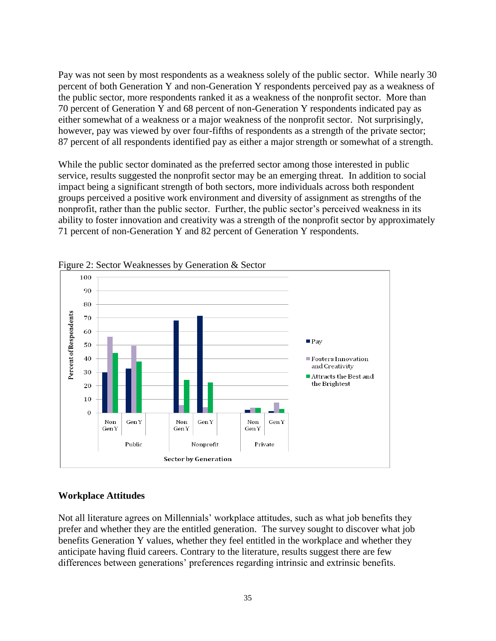Pay was not seen by most respondents as a weakness solely of the public sector. While nearly 30 percent of both Generation Y and non-Generation Y respondents perceived pay as a weakness of the public sector, more respondents ranked it as a weakness of the nonprofit sector. More than 70 percent of Generation Y and 68 percent of non-Generation Y respondents indicated pay as either somewhat of a weakness or a major weakness of the nonprofit sector. Not surprisingly, however, pay was viewed by over four-fifths of respondents as a strength of the private sector; 87 percent of all respondents identified pay as either a major strength or somewhat of a strength.

While the public sector dominated as the preferred sector among those interested in public service, results suggested the nonprofit sector may be an emerging threat. In addition to social impact being a significant strength of both sectors, more individuals across both respondent groups perceived a positive work environment and diversity of assignment as strengths of the nonprofit, rather than the public sector. Further, the public sector's perceived weakness in its ability to foster innovation and creativity was a strength of the nonprofit sector by approximately 71 percent of non-Generation Y and 82 percent of Generation Y respondents.



Figure 2: Sector Weaknesses by Generation & Sector

#### **Workplace Attitudes**

Not all literature agrees on Millennials' workplace attitudes, such as what job benefits they prefer and whether they are the entitled generation. The survey sought to discover what job benefits Generation Y values, whether they feel entitled in the workplace and whether they anticipate having fluid careers. Contrary to the literature, results suggest there are few differences between generations' preferences regarding intrinsic and extrinsic benefits.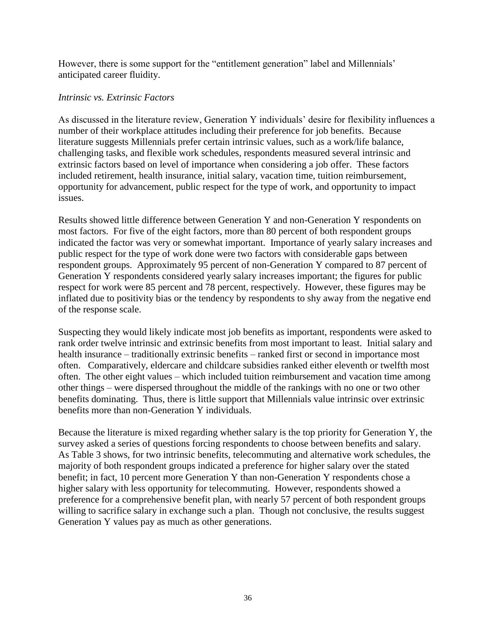However, there is some support for the "entitlement generation" label and Millennials' anticipated career fluidity.

## *Intrinsic vs. Extrinsic Factors*

As discussed in the literature review, Generation Y individuals' desire for flexibility influences a number of their workplace attitudes including their preference for job benefits. Because literature suggests Millennials prefer certain intrinsic values, such as a work/life balance, challenging tasks, and flexible work schedules, respondents measured several intrinsic and extrinsic factors based on level of importance when considering a job offer. These factors included retirement, health insurance, initial salary, vacation time, tuition reimbursement, opportunity for advancement, public respect for the type of work, and opportunity to impact issues.

Results showed little difference between Generation Y and non-Generation Y respondents on most factors. For five of the eight factors, more than 80 percent of both respondent groups indicated the factor was very or somewhat important. Importance of yearly salary increases and public respect for the type of work done were two factors with considerable gaps between respondent groups. Approximately 95 percent of non-Generation Y compared to 87 percent of Generation Y respondents considered yearly salary increases important; the figures for public respect for work were 85 percent and 78 percent, respectively. However, these figures may be inflated due to positivity bias or the tendency by respondents to shy away from the negative end of the response scale.

Suspecting they would likely indicate most job benefits as important, respondents were asked to rank order twelve intrinsic and extrinsic benefits from most important to least. Initial salary and health insurance – traditionally extrinsic benefits – ranked first or second in importance most often. Comparatively, eldercare and childcare subsidies ranked either eleventh or twelfth most often. The other eight values – which included tuition reimbursement and vacation time among other things – were dispersed throughout the middle of the rankings with no one or two other benefits dominating. Thus, there is little support that Millennials value intrinsic over extrinsic benefits more than non-Generation Y individuals.

Because the literature is mixed regarding whether salary is the top priority for Generation Y, the survey asked a series of questions forcing respondents to choose between benefits and salary. As Table 3 shows, for two intrinsic benefits, telecommuting and alternative work schedules, the majority of both respondent groups indicated a preference for higher salary over the stated benefit; in fact, 10 percent more Generation Y than non-Generation Y respondents chose a higher salary with less opportunity for telecommuting. However, respondents showed a preference for a comprehensive benefit plan, with nearly 57 percent of both respondent groups willing to sacrifice salary in exchange such a plan. Though not conclusive, the results suggest Generation Y values pay as much as other generations.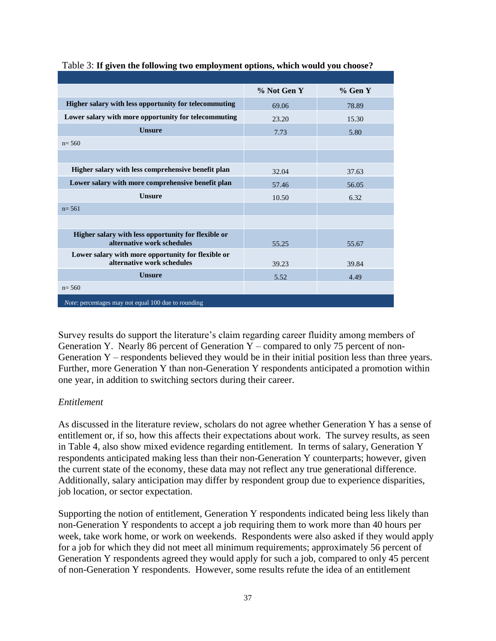|                                                                                   | % Not Gen Y | % Gen Y |
|-----------------------------------------------------------------------------------|-------------|---------|
| Higher salary with less opportunity for telecommuting                             | 69.06       | 78.89   |
| Lower salary with more opportunity for telecommuting                              | 23.20       | 15.30   |
| <b>Unsure</b>                                                                     | 7.73        | 5.80    |
| $n = 560$                                                                         |             |         |
|                                                                                   |             |         |
| Higher salary with less comprehensive benefit plan                                | 32.04       | 37.63   |
| Lower salary with more comprehensive benefit plan                                 | 57.46       | 56.05   |
| <b>Unsure</b>                                                                     | 10.50       | 6.32    |
| $n = 561$                                                                         |             |         |
|                                                                                   |             |         |
| Higher salary with less opportunity for flexible or<br>alternative work schedules | 55.25       | 55.67   |
| Lower salary with more opportunity for flexible or<br>alternative work schedules  | 39.23       | 39.84   |
| <b>Unsure</b>                                                                     | 5.52        | 4.49    |
| $n = 560$                                                                         |             |         |
| <i>Note:</i> percentages may not equal 100 due to rounding                        |             |         |

#### Table 3: **If given the following two employment options, which would you choose??**

Survey results do support the literature's claim regarding career fluidity among members of Generation Y. Nearly 86 percent of Generation Y – compared to only 75 percent of non-Generation Y – respondents believed they would be in their initial position less than three years. Further, more Generation Y than non-Generation Y respondents anticipated a promotion within one year, in addition to switching sectors during their career.

## *Entitlement*

As discussed in the literature review, scholars do not agree whether Generation Y has a sense of entitlement or, if so, how this affects their expectations about work. The survey results, as seen in Table 4, also show mixed evidence regarding entitlement. In terms of salary, Generation Y respondents anticipated making less than their non-Generation Y counterparts; however, given the current state of the economy, these data may not reflect any true generational difference. Additionally, salary anticipation may differ by respondent group due to experience disparities, job location, or sector expectation.

Supporting the notion of entitlement, Generation Y respondents indicated being less likely than non-Generation Y respondents to accept a job requiring them to work more than 40 hours per week, take work home, or work on weekends. Respondents were also asked if they would apply for a job for which they did not meet all minimum requirements; approximately 56 percent of Generation Y respondents agreed they would apply for such a job, compared to only 45 percent of non-Generation Y respondents. However, some results refute the idea of an entitlement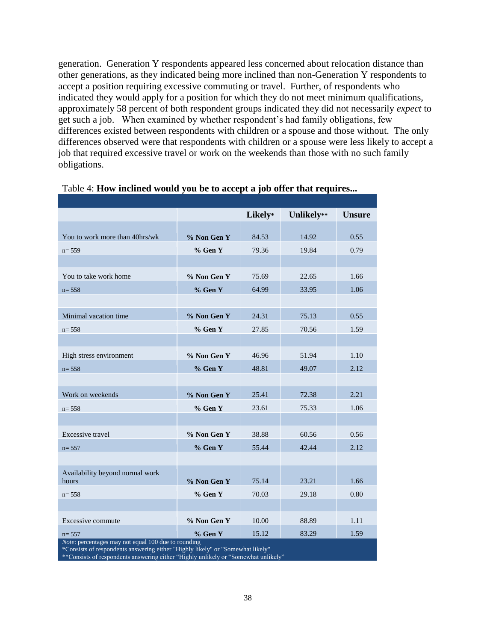generation. Generation Y respondents appeared less concerned about relocation distance than other generations, as they indicated being more inclined than non-Generation Y respondents to accept a position requiring excessive commuting or travel. Further, of respondents who indicated they would apply for a position for which they do not meet minimum qualifications, approximately 58 percent of both respondent groups indicated they did not necessarily *expect* to get such a job. When examined by whether respondent's had family obligations, few differences existed between respondents with children or a spouse and those without. The only differences observed were that respondents with children or a spouse were less likely to accept a job that required excessive travel or work on the weekends than those with no such family obligations.

|                                                                         |             | Likely* | Unlikely** | <b>Unsure</b> |
|-------------------------------------------------------------------------|-------------|---------|------------|---------------|
|                                                                         |             |         |            |               |
| You to work more than 40hrs/wk                                          | % Non Gen Y | 84.53   | 14.92      | 0.55          |
| $n = 559$                                                               | % Gen Y     | 79.36   | 19.84      | 0.79          |
|                                                                         |             |         |            |               |
| You to take work home                                                   | % Non Gen Y | 75.69   | 22.65      | 1.66          |
| $n = 558$                                                               | $%$ Gen Y   | 64.99   | 33.95      | 1.06          |
|                                                                         |             |         |            |               |
| Minimal vacation time                                                   | % Non Gen Y | 24.31   | 75.13      | 0.55          |
| $n = 558$                                                               | % Gen Y     | 27.85   | 70.56      | 1.59          |
|                                                                         |             |         |            |               |
| High stress environment                                                 | % Non Gen Y | 46.96   | 51.94      | 1.10          |
| $n = 558$                                                               | $%$ Gen Y   | 48.81   | 49.07      | 2.12          |
|                                                                         |             |         |            |               |
| Work on weekends                                                        | % Non Gen Y | 25.41   | 72.38      | 2.21          |
| $n = 558$                                                               | $%$ Gen Y   | 23.61   | 75.33      | 1.06          |
|                                                                         |             |         |            |               |
| Excessive travel                                                        | % Non Gen Y | 38.88   | 60.56      | 0.56          |
| $n = 557$                                                               | % Gen Y     | 55.44   | 42.44      | 2.12          |
|                                                                         |             |         |            |               |
| Availability beyond normal work                                         |             |         |            |               |
| hours                                                                   | % Non Gen Y | 75.14   | 23.21      | 1.66          |
| $n = 558$                                                               | % Gen Y     | 70.03   | 29.18      | 0.80          |
|                                                                         |             |         |            |               |
| Excessive commute                                                       | % Non Gen Y | 10.00   | 88.89      | 1.11          |
| $n = 557$<br><i>Note:</i> percentages may not equal 100 due to rounding | % Gen Y     | 15.12   | 83.29      | 1.59          |

## Table 4: **How inclined would you be to accept a job offer that requires...**

*Note*: percentages may not equal 100 due to rounding

\*Consists of respondents answering either "Highly likely" or "Somewhat likely"

\*\*Consists of respondents answering either "Highly unlikely or "Somewhat unlikely"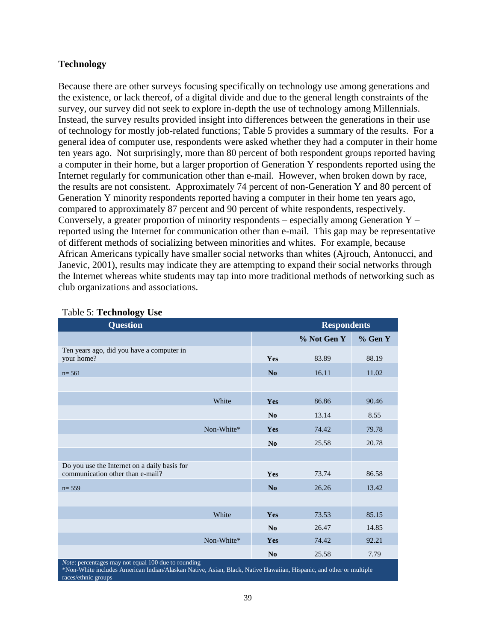## **Technology**

Because there are other surveys focusing specifically on technology use among generations and the existence, or lack thereof, of a digital divide and due to the general length constraints of the survey, our survey did not seek to explore in-depth the use of technology among Millennials. Instead, the survey results provided insight into differences between the generations in their use of technology for mostly job-related functions; Table 5 provides a summary of the results. For a general idea of computer use, respondents were asked whether they had a computer in their home ten years ago. Not surprisingly, more than 80 percent of both respondent groups reported having a computer in their home, but a larger proportion of Generation Y respondents reported using the Internet regularly for communication other than e-mail. However, when broken down by race, the results are not consistent. Approximately 74 percent of non-Generation Y and 80 percent of Generation Y minority respondents reported having a computer in their home ten years ago, compared to approximately 87 percent and 90 percent of white respondents, respectively. Conversely, a greater proportion of minority respondents – especially among Generation  $Y$ reported using the Internet for communication other than e-mail. This gap may be representative of different methods of socializing between minorities and whites. For example, because African Americans typically have smaller social networks than whites (Ajrouch, Antonucci, and Janevic, 2001), results may indicate they are attempting to expand their social networks through the Internet whereas white students may tap into more traditional methods of networking such as club organizations and associations.

| <b>Question</b>                                                                  | <b>Respondents</b> |                |             |         |  |  |
|----------------------------------------------------------------------------------|--------------------|----------------|-------------|---------|--|--|
|                                                                                  |                    |                | % Not Gen Y | % Gen Y |  |  |
| Ten years ago, did you have a computer in<br>your home?                          |                    | <b>Yes</b>     | 83.89       | 88.19   |  |  |
| $n = 561$                                                                        |                    | No             | 16.11       | 11.02   |  |  |
|                                                                                  |                    |                |             |         |  |  |
|                                                                                  | White              | <b>Yes</b>     | 86.86       | 90.46   |  |  |
|                                                                                  |                    | N <sub>0</sub> | 13.14       | 8.55    |  |  |
|                                                                                  | Non-White*         | Yes            | 74.42       | 79.78   |  |  |
|                                                                                  |                    | N <sub>0</sub> | 25.58       | 20.78   |  |  |
|                                                                                  |                    |                |             |         |  |  |
| Do you use the Internet on a daily basis for<br>communication other than e-mail? |                    | Yes            | 73.74       | 86.58   |  |  |
| $n = 559$                                                                        |                    | No             | 26.26       | 13.42   |  |  |
|                                                                                  |                    |                |             |         |  |  |
|                                                                                  | White              | Yes            | 73.53       | 85.15   |  |  |
|                                                                                  |                    | N <sub>0</sub> | 26.47       | 14.85   |  |  |
|                                                                                  | Non-White*         | Yes            | 74.42       | 92.21   |  |  |
| 1.1001                                                                           |                    | N <sub>0</sub> | 25.58       | 7.79    |  |  |

#### Table 5: **Technology Use**

*s* may not equal 100 due to rounding

\*Non-White includes American Indian/Alaskan Native, Asian, Black, Native Hawaiian, Hispanic, and other or multiple races/ethnic groups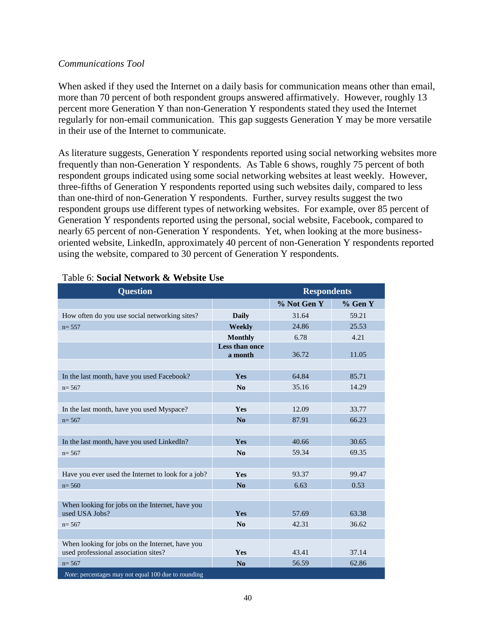#### *Communications Tool*

When asked if they used the Internet on a daily basis for communication means other than email, more than 70 percent of both respondent groups answered affirmatively. However, roughly 13 percent more Generation Y than non-Generation Y respondents stated they used the Internet regularly for non-email communication. This gap suggests Generation Y may be more versatile in their use of the Internet to communicate.

As literature suggests, Generation Y respondents reported using social networking websites more frequently than non-Generation Y respondents. As Table 6 shows, roughly 75 percent of both respondent groups indicated using some social networking websites at least weekly. However, three-fifths of Generation Y respondents reported using such websites daily, compared to less than one-third of non-Generation Y respondents. Further, survey results suggest the two respondent groups use different types of networking websites. For example, over 85 percent of Generation Y respondents reported using the personal, social website, Facebook, compared to nearly 65 percent of non-Generation Y respondents. Yet, when looking at the more businessoriented website, LinkedIn, approximately 40 percent of non-Generation Y respondents reported using the website, compared to 30 percent of Generation Y respondents.

| <b>Question</b>                                                                         |                           | <b>Respondents</b> |         |  |
|-----------------------------------------------------------------------------------------|---------------------------|--------------------|---------|--|
|                                                                                         |                           | % Not Gen Y        | % Gen Y |  |
| How often do you use social networking sites?                                           | <b>Daily</b>              | 31.64              | 59.21   |  |
| $n = 557$                                                                               | Weekly                    | 24.86              | 25.53   |  |
|                                                                                         | <b>Monthly</b>            | 6.78               | 4.21    |  |
|                                                                                         | Less than once<br>a month | 36.72              | 11.05   |  |
|                                                                                         |                           |                    |         |  |
| In the last month, have you used Facebook?                                              | Yes                       | 64.84              | 85.71   |  |
| $n = 567$                                                                               | No                        | 35.16              | 14.29   |  |
|                                                                                         |                           |                    |         |  |
| In the last month, have you used Myspace?                                               | Yes                       | 12.09              | 33.77   |  |
| $n = 567$                                                                               | No                        | 87.91              | 66.23   |  |
|                                                                                         |                           |                    |         |  |
| In the last month, have you used LinkedIn?                                              | Yes                       | 40.66              | 30.65   |  |
| $n = 567$                                                                               | $\mathbf{N}\mathbf{0}$    | 59.34              | 69.35   |  |
|                                                                                         |                           |                    |         |  |
| Have you ever used the Internet to look for a job?                                      | <b>Yes</b>                | 93.37              | 99.47   |  |
| $n = 560$                                                                               | No                        | 6.63               | 0.53    |  |
|                                                                                         |                           |                    |         |  |
| When looking for jobs on the Internet, have you<br>used USA Jobs?                       | Yes                       | 57.69              | 63.38   |  |
| $n = 567$                                                                               | $\mathbf{N}\mathbf{0}$    | 42.31              | 36.62   |  |
|                                                                                         |                           |                    |         |  |
| When looking for jobs on the Internet, have you<br>used professional association sites? | Yes                       | 43.41              | 37.14   |  |
| $n = 567$                                                                               | No                        | 56.59              | 62.86   |  |
| Note: percentages may not equal 100 due to rounding                                     |                           |                    |         |  |

# Table 6: **Social Network & Website Use**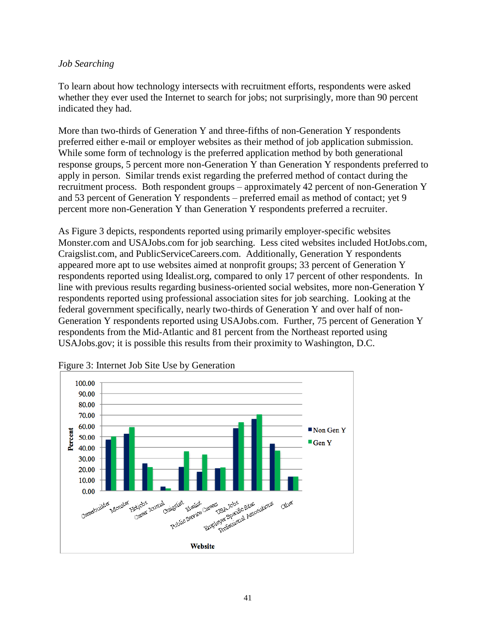## *Job Searching*

To learn about how technology intersects with recruitment efforts, respondents were asked whether they ever used the Internet to search for jobs; not surprisingly, more than 90 percent indicated they had.

More than two-thirds of Generation Y and three-fifths of non-Generation Y respondents preferred either e-mail or employer websites as their method of job application submission. While some form of technology is the preferred application method by both generational response groups, 5 percent more non-Generation Y than Generation Y respondents preferred to apply in person. Similar trends exist regarding the preferred method of contact during the recruitment process. Both respondent groups – approximately 42 percent of non-Generation Y and 53 percent of Generation Y respondents – preferred email as method of contact; yet 9 percent more non-Generation Y than Generation Y respondents preferred a recruiter.

As Figure 3 depicts, respondents reported using primarily employer-specific websites Monster.com and USAJobs.com for job searching. Less cited websites included HotJobs.com, Craigslist.com, and PublicServiceCareers.com. Additionally, Generation Y respondents appeared more apt to use websites aimed at nonprofit groups; 33 percent of Generation Y respondents reported using Idealist.org, compared to only 17 percent of other respondents. In line with previous results regarding business-oriented social websites, more non-Generation Y respondents reported using professional association sites for job searching. Looking at the federal government specifically, nearly two-thirds of Generation Y and over half of non-Generation Y respondents reported using USAJobs.com. Further, 75 percent of Generation Y respondents from the Mid-Atlantic and 81 percent from the Northeast reported using USAJobs.gov; it is possible this results from their proximity to Washington, D.C.



Figure 3: Internet Job Site Use by Generation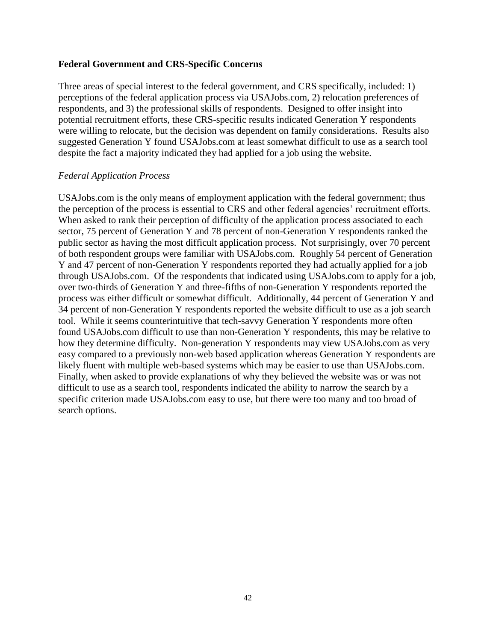## **Federal Government and CRS-Specific Concerns**

Three areas of special interest to the federal government, and CRS specifically, included: 1) perceptions of the federal application process via USAJobs.com, 2) relocation preferences of respondents, and 3) the professional skills of respondents. Designed to offer insight into potential recruitment efforts, these CRS-specific results indicated Generation Y respondents were willing to relocate, but the decision was dependent on family considerations. Results also suggested Generation Y found USAJobs.com at least somewhat difficult to use as a search tool despite the fact a majority indicated they had applied for a job using the website.

### *Federal Application Process*

USAJobs.com is the only means of employment application with the federal government; thus the perception of the process is essential to CRS and other federal agencies' recruitment efforts. When asked to rank their perception of difficulty of the application process associated to each sector, 75 percent of Generation Y and 78 percent of non-Generation Y respondents ranked the public sector as having the most difficult application process. Not surprisingly, over 70 percent of both respondent groups were familiar with USAJobs.com. Roughly 54 percent of Generation Y and 47 percent of non-Generation Y respondents reported they had actually applied for a job through USAJobs.com. Of the respondents that indicated using USAJobs.com to apply for a job, over two-thirds of Generation Y and three-fifths of non-Generation Y respondents reported the process was either difficult or somewhat difficult. Additionally, 44 percent of Generation Y and 34 percent of non-Generation Y respondents reported the website difficult to use as a job search tool. While it seems counterintuitive that tech-savvy Generation Y respondents more often found USAJobs.com difficult to use than non-Generation Y respondents, this may be relative to how they determine difficulty. Non-generation Y respondents may view USAJobs.com as very easy compared to a previously non-web based application whereas Generation Y respondents are likely fluent with multiple web-based systems which may be easier to use than USAJobs.com. Finally, when asked to provide explanations of why they believed the website was or was not difficult to use as a search tool, respondents indicated the ability to narrow the search by a specific criterion made USAJobs.com easy to use, but there were too many and too broad of search options.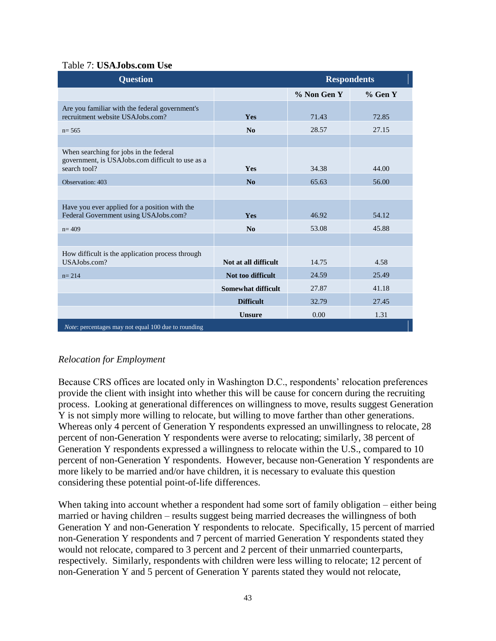## Table 7: **USAJobs.com Use**

| <b>Question</b>                                                                                            | <b>Respondents</b>   |             |           |  |
|------------------------------------------------------------------------------------------------------------|----------------------|-------------|-----------|--|
|                                                                                                            |                      | % Non Gen Y | $%$ Gen Y |  |
| Are you familiar with the federal government's<br>recruitment website USAJobs.com?                         | <b>Yes</b>           | 71.43       | 72.85     |  |
| $n = 565$                                                                                                  | No                   | 28.57       | 27.15     |  |
|                                                                                                            |                      |             |           |  |
| When searching for jobs in the federal<br>government, is USAJobs.com difficult to use as a<br>search tool? | <b>Yes</b>           | 34.38       | 44.00     |  |
| Observation: 403                                                                                           | No                   | 65.63       | 56.00     |  |
|                                                                                                            |                      |             |           |  |
| Have you ever applied for a position with the<br>Federal Government using USAJobs.com?                     | <b>Yes</b>           | 46.92       | 54.12     |  |
| $n = 409$                                                                                                  | No                   | 53.08       | 45.88     |  |
|                                                                                                            |                      |             |           |  |
| How difficult is the application process through<br>USAJobs.com?                                           | Not at all difficult | 14.75       | 4.58      |  |
| $n = 214$                                                                                                  | Not too difficult    | 24.59       | 25.49     |  |
|                                                                                                            | Somewhat difficult   | 27.87       | 41.18     |  |
|                                                                                                            | <b>Difficult</b>     | 32.79       | 27.45     |  |
|                                                                                                            | <b>Unsure</b>        | 0.00        | 1.31      |  |
| Note: percentages may not equal 100 due to rounding                                                        |                      |             |           |  |

# *Relocation for Employment*

Because CRS offices are located only in Washington D.C., respondents' relocation preferences provide the client with insight into whether this will be cause for concern during the recruiting process. Looking at generational differences on willingness to move, results suggest Generation Y is not simply more willing to relocate, but willing to move farther than other generations. Whereas only 4 percent of Generation Y respondents expressed an unwillingness to relocate, 28 percent of non-Generation Y respondents were averse to relocating; similarly, 38 percent of Generation Y respondents expressed a willingness to relocate within the U.S., compared to 10 percent of non-Generation Y respondents. However, because non-Generation Y respondents are more likely to be married and/or have children, it is necessary to evaluate this question considering these potential point-of-life differences.

When taking into account whether a respondent had some sort of family obligation – either being married or having children – results suggest being married decreases the willingness of both Generation Y and non-Generation Y respondents to relocate. Specifically, 15 percent of married non-Generation Y respondents and 7 percent of married Generation Y respondents stated they would not relocate, compared to 3 percent and 2 percent of their unmarried counterparts, respectively. Similarly, respondents with children were less willing to relocate; 12 percent of non-Generation Y and 5 percent of Generation Y parents stated they would not relocate,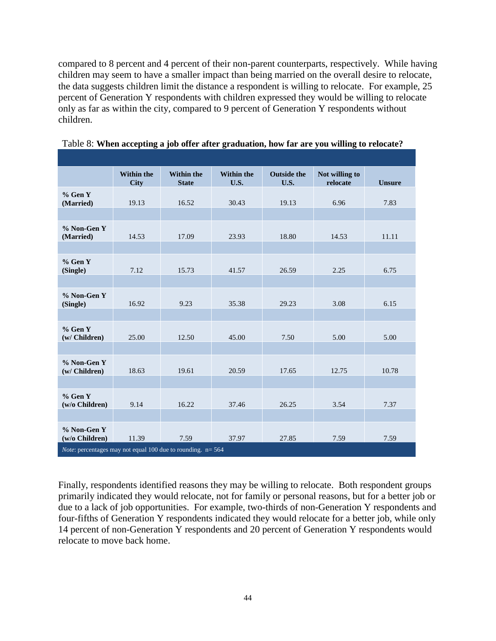compared to 8 percent and 4 percent of their non-parent counterparts, respectively. While having children may seem to have a smaller impact than being married on the overall desire to relocate, the data suggests children limit the distance a respondent is willing to relocate. For example, 25 percent of Generation Y respondents with children expressed they would be willing to relocate only as far as within the city, compared to 9 percent of Generation Y respondents without children.

|                                                                       | <b>Within the</b><br><b>City</b> | <b>Within the</b><br><b>State</b> | <b>Within the</b><br>U.S. | <b>Outside the</b><br>U.S. | Not willing to<br>relocate | <b>Unsure</b> |
|-----------------------------------------------------------------------|----------------------------------|-----------------------------------|---------------------------|----------------------------|----------------------------|---------------|
| $%$ Gen Y<br>(Married)                                                | 19.13                            | 16.52                             | 30.43                     | 19.13                      | 6.96                       | 7.83          |
|                                                                       |                                  |                                   |                           |                            |                            |               |
| % Non-Gen Y<br>(Married)                                              | 14.53                            | 17.09                             | 23.93                     | 18.80                      | 14.53                      | 11.11         |
|                                                                       |                                  |                                   |                           |                            |                            |               |
| % Gen Y<br>(Single)                                                   | 7.12                             | 15.73                             | 41.57                     | 26.59                      | 2.25                       | 6.75          |
|                                                                       |                                  |                                   |                           |                            |                            |               |
| % Non-Gen Y<br>(Single)                                               | 16.92                            | 9.23                              | 35.38                     | 29.23                      | 3.08                       | 6.15          |
|                                                                       |                                  |                                   |                           |                            |                            |               |
| $%$ Gen Y<br>(w/ Children)                                            | 25.00                            | 12.50                             | 45.00                     | 7.50                       | 5.00                       | 5.00          |
|                                                                       |                                  |                                   |                           |                            |                            |               |
| % Non-Gen Y<br>(w/ Children)                                          | 18.63                            | 19.61                             | 20.59                     | 17.65                      | 12.75                      | 10.78         |
|                                                                       |                                  |                                   |                           |                            |                            |               |
| $%$ Gen Y<br>(w/o Children)                                           | 9.14                             | 16.22                             | 37.46                     | 26.25                      | 3.54                       | 7.37          |
|                                                                       |                                  |                                   |                           |                            |                            |               |
| % Non-Gen Y<br>$(w/o$ Children)                                       | 11.39                            | 7.59                              | 37.97                     | 27.85                      | 7.59                       | 7.59          |
| <i>Note:</i> percentages may not equal 100 due to rounding. $n = 564$ |                                  |                                   |                           |                            |                            |               |

|  | Table 8: When accepting a job offer after graduation, how far are you willing to relocate? |  |
|--|--------------------------------------------------------------------------------------------|--|
|  |                                                                                            |  |

Finally, respondents identified reasons they may be willing to relocate. Both respondent groups primarily indicated they would relocate, not for family or personal reasons, but for a better job or due to a lack of job opportunities. For example, two-thirds of non-Generation Y respondents and four-fifths of Generation Y respondents indicated they would relocate for a better job, while only 14 percent of non-Generation Y respondents and 20 percent of Generation Y respondents would relocate to move back home.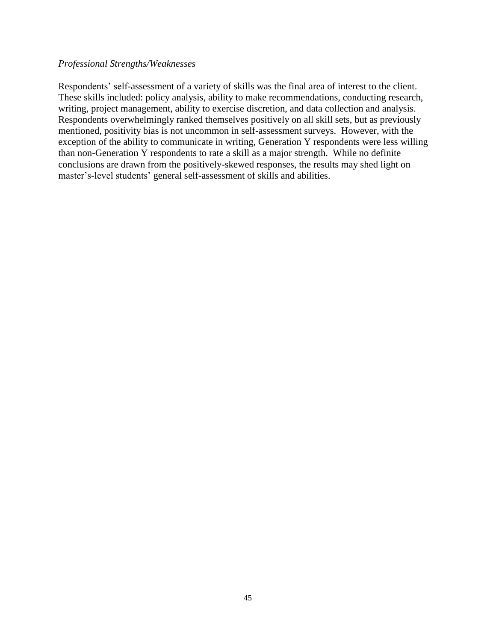## *Professional Strengths/Weaknesses*

Respondents' self-assessment of a variety of skills was the final area of interest to the client. These skills included: policy analysis, ability to make recommendations, conducting research, writing, project management, ability to exercise discretion, and data collection and analysis. Respondents overwhelmingly ranked themselves positively on all skill sets, but as previously mentioned, positivity bias is not uncommon in self-assessment surveys. However, with the exception of the ability to communicate in writing, Generation Y respondents were less willing than non-Generation Y respondents to rate a skill as a major strength. While no definite conclusions are drawn from the positively-skewed responses, the results may shed light on master's-level students' general self-assessment of skills and abilities.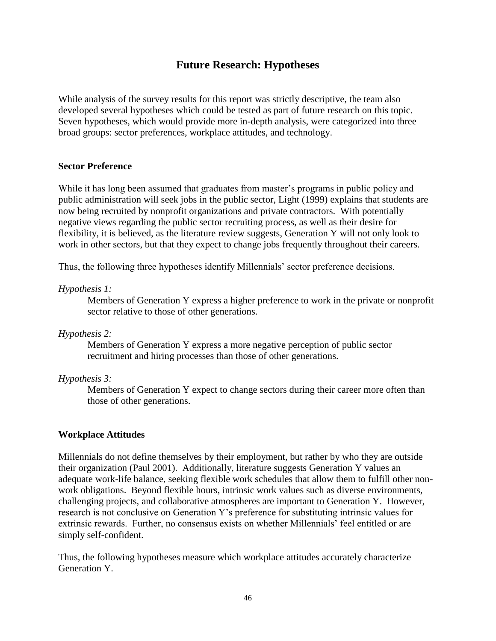# **Future Research: Hypotheses**

While analysis of the survey results for this report was strictly descriptive, the team also developed several hypotheses which could be tested as part of future research on this topic. Seven hypotheses, which would provide more in-depth analysis, were categorized into three broad groups: sector preferences, workplace attitudes, and technology.

## **Sector Preference**

While it has long been assumed that graduates from master's programs in public policy and public administration will seek jobs in the public sector, Light (1999) explains that students are now being recruited by nonprofit organizations and private contractors. With potentially negative views regarding the public sector recruiting process, as well as their desire for flexibility, it is believed, as the literature review suggests, Generation Y will not only look to work in other sectors, but that they expect to change jobs frequently throughout their careers.

Thus, the following three hypotheses identify Millennials' sector preference decisions.

### *Hypothesis 1:*

Members of Generation Y express a higher preference to work in the private or nonprofit sector relative to those of other generations.

## *Hypothesis 2:*

Members of Generation Y express a more negative perception of public sector recruitment and hiring processes than those of other generations.

#### *Hypothesis 3:*

Members of Generation Y expect to change sectors during their career more often than those of other generations.

#### **Workplace Attitudes**

Millennials do not define themselves by their employment, but rather by who they are outside their organization (Paul 2001). Additionally, literature suggests Generation Y values an adequate work-life balance, seeking flexible work schedules that allow them to fulfill other nonwork obligations. Beyond flexible hours, intrinsic work values such as diverse environments, challenging projects, and collaborative atmospheres are important to Generation Y. However, research is not conclusive on Generation Y's preference for substituting intrinsic values for extrinsic rewards. Further, no consensus exists on whether Millennials' feel entitled or are simply self-confident.

Thus, the following hypotheses measure which workplace attitudes accurately characterize Generation Y.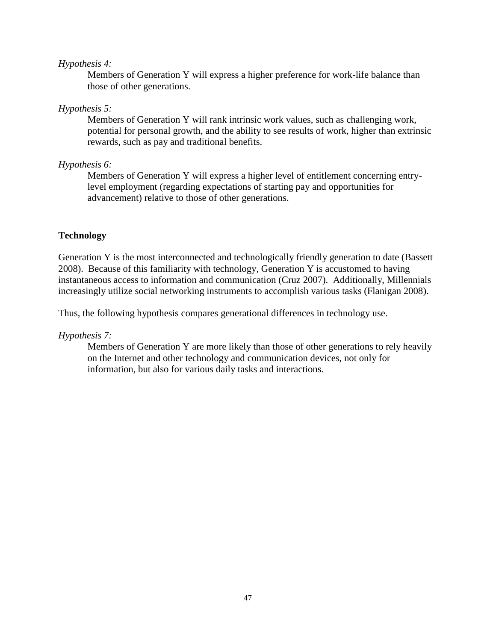## *Hypothesis 4:*

Members of Generation Y will express a higher preference for work-life balance than those of other generations.

## *Hypothesis 5:*

Members of Generation Y will rank intrinsic work values, such as challenging work, potential for personal growth, and the ability to see results of work, higher than extrinsic rewards, such as pay and traditional benefits.

## *Hypothesis 6:*

Members of Generation Y will express a higher level of entitlement concerning entrylevel employment (regarding expectations of starting pay and opportunities for advancement) relative to those of other generations.

## **Technology**

Generation Y is the most interconnected and technologically friendly generation to date (Bassett 2008). Because of this familiarity with technology, Generation Y is accustomed to having instantaneous access to information and communication (Cruz 2007). Additionally, Millennials increasingly utilize social networking instruments to accomplish various tasks (Flanigan 2008).

Thus, the following hypothesis compares generational differences in technology use.

## *Hypothesis 7:*

Members of Generation Y are more likely than those of other generations to rely heavily on the Internet and other technology and communication devices, not only for information, but also for various daily tasks and interactions.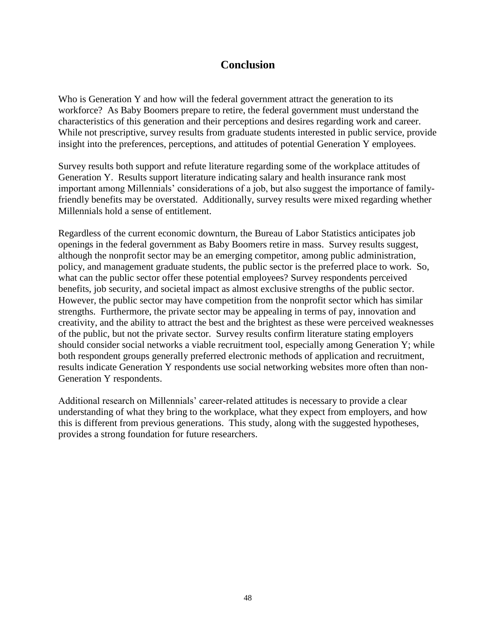# **Conclusion**

Who is Generation Y and how will the federal government attract the generation to its workforce? As Baby Boomers prepare to retire, the federal government must understand the characteristics of this generation and their perceptions and desires regarding work and career. While not prescriptive, survey results from graduate students interested in public service, provide insight into the preferences, perceptions, and attitudes of potential Generation Y employees.

Survey results both support and refute literature regarding some of the workplace attitudes of Generation Y. Results support literature indicating salary and health insurance rank most important among Millennials' considerations of a job, but also suggest the importance of familyfriendly benefits may be overstated. Additionally, survey results were mixed regarding whether Millennials hold a sense of entitlement.

Regardless of the current economic downturn, the Bureau of Labor Statistics anticipates job openings in the federal government as Baby Boomers retire in mass. Survey results suggest, although the nonprofit sector may be an emerging competitor, among public administration, policy, and management graduate students, the public sector is the preferred place to work. So, what can the public sector offer these potential employees? Survey respondents perceived benefits, job security, and societal impact as almost exclusive strengths of the public sector. However, the public sector may have competition from the nonprofit sector which has similar strengths. Furthermore, the private sector may be appealing in terms of pay, innovation and creativity, and the ability to attract the best and the brightest as these were perceived weaknesses of the public, but not the private sector. Survey results confirm literature stating employers should consider social networks a viable recruitment tool, especially among Generation Y; while both respondent groups generally preferred electronic methods of application and recruitment, results indicate Generation Y respondents use social networking websites more often than non-Generation Y respondents.

Additional research on Millennials' career-related attitudes is necessary to provide a clear understanding of what they bring to the workplace, what they expect from employers, and how this is different from previous generations. This study, along with the suggested hypotheses, provides a strong foundation for future researchers.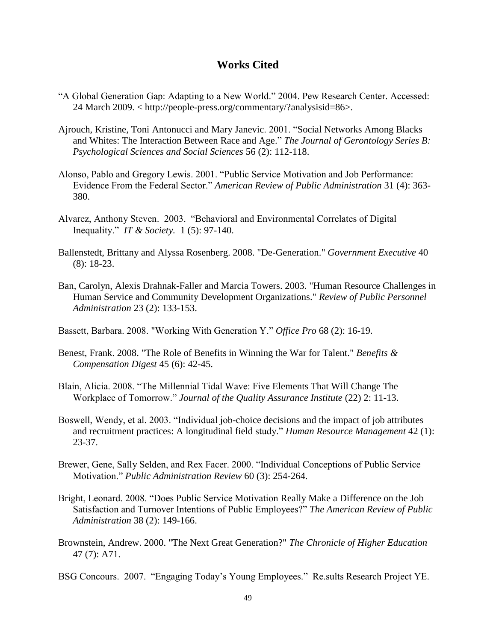# **Works Cited**

- "A Global Generation Gap: Adapting to a New World." 2004. Pew Research Center. Accessed: 24 March 2009. < http://people-press.org/commentary/?analysisid=86>.
- Ajrouch, Kristine, Toni Antonucci and Mary Janevic. 2001. "Social Networks Among Blacks and Whites: The Interaction Between Race and Age." The Journal of Gerontology Series B: *Psychological Sciences and Social Sciences* 56 (2): 112-118.
- Alonso, Pablo and Gregory Lewis. 2001. "Public Service Motivation and Job Performance: Evidence From the Federal Sector.‖ *American Review of Public Administration* 31 (4): 363- 380.
- Alvarez, Anthony Steven. 2003. "Behavioral and Environmental Correlates of Digital Inequality.‖ *IT & Society.* 1 (5): 97-140.
- Ballenstedt, Brittany and Alyssa Rosenberg. 2008. "De-Generation." *Government Executive* 40 (8): 18-23.
- Ban, Carolyn, Alexis Drahnak-Faller and Marcia Towers. 2003. "Human Resource Challenges in Human Service and Community Development Organizations." *Review of Public Personnel Administration* 23 (2): 133-153.
- Bassett, Barbara. 2008. "Working With Generation Y." *Office Pro* 68 (2): 16-19.
- Benest, Frank. 2008. "The Role of Benefits in Winning the War for Talent." *Benefits & Compensation Digest* 45 (6): 42-45.
- Blain, Alicia. 2008. "The Millennial Tidal Wave: Five Elements That Will Change The Workplace of Tomorrow.‖ *Journal of the Quality Assurance Institute* (22) 2: 11-13.
- Boswell, Wendy, et al. 2003. "Individual job-choice decisions and the impact of job attributes and recruitment practices: A longitudinal field study." *Human Resource Management* 42 (1): 23-37.
- Brewer, Gene, Sally Selden, and Rex Facer. 2000. "Individual Conceptions of Public Service Motivation.‖ *Public Administration Review* 60 (3): 254-264.
- Bright, Leonard. 2008. "Does Public Service Motivation Really Make a Difference on the Job Satisfaction and Turnover Intentions of Public Employees?" The American Review of Public *Administration* 38 (2): 149-166.
- Brownstein, Andrew. 2000. "The Next Great Generation?" *The Chronicle of Higher Education* 47 (7): A71.
- BSG Concours. 2007. "Engaging Today's Young Employees." Re.sults Research Project YE.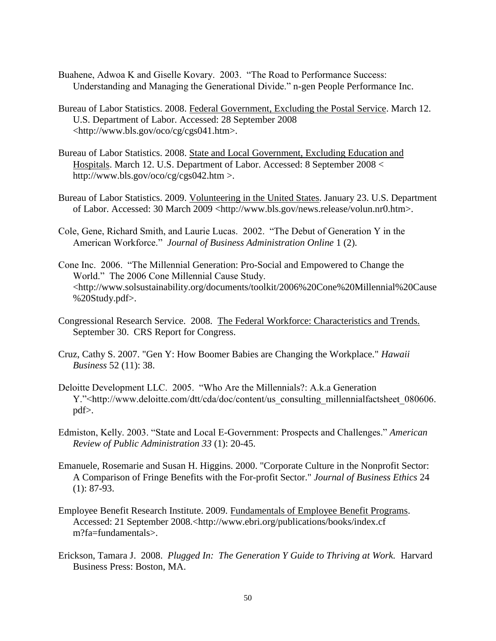- Buahene, Adwoa K and Giselle Kovary. 2003. "The Road to Performance Success: Understanding and Managing the Generational Divide." n-gen People Performance Inc.
- Bureau of Labor Statistics. 2008. Federal Government, Excluding the Postal Service. March 12. U.S. Department of Labor. Accessed: 28 September 2008 <http://www.bls.gov/oco/cg/cgs041.htm>.
- Bureau of Labor Statistics. 2008. State and Local Government, Excluding Education and Hospitals. March 12. U.S. Department of Labor. Accessed: 8 September 2008 < http://www.bls.gov/oco/cg/cgs042.htm >.
- Bureau of Labor Statistics. 2009. Volunteering in the United States. January 23. U.S. Department of Labor. Accessed: 30 March 2009 <http://www.bls.gov/news.release/volun.nr0.htm>.
- Cole, Gene, Richard Smith, and Laurie Lucas. 2002. "The Debut of Generation Y in the American Workforce.‖ *Journal of Business Administration Online* 1 (2).
- Cone Inc. 2006. "The Millennial Generation: Pro-Social and Empowered to Change the World." The 2006 Cone Millennial Cause Study. <http://www.solsustainability.org/documents/toolkit/2006%20Cone%20Millennial%20Cause %20Study.pdf>.
- Congressional Research Service. 2008. The Federal Workforce: Characteristics and Trends. September 30. CRS Report for Congress.
- Cruz, Cathy S. 2007. "Gen Y: How Boomer Babies are Changing the Workplace." *Hawaii Business* 52 (11): 38.
- Deloitte Development LLC. 2005. "Who Are the Millennials?: A.k.a Generation Y."<http://www.deloitte.com/dtt/cda/doc/content/us\_consulting\_millennialfactsheet\_080606. pdf>.
- Edmiston, Kelly. 2003. "State and Local E-Government: Prospects and Challenges." *American Review of Public Administration 33* (1): 20-45.
- Emanuele, Rosemarie and Susan H. Higgins. 2000. "Corporate Culture in the Nonprofit Sector: A Comparison of Fringe Benefits with the For-profit Sector." *Journal of Business Ethics* 24 (1): 87-93.
- Employee Benefit Research Institute. 2009. Fundamentals of Employee Benefit Programs. Accessed: 21 September 2008.<http://www.ebri.org/publications/books/index.cf m?fa=fundamentals>.
- Erickson, Tamara J. 2008. *Plugged In: The Generation Y Guide to Thriving at Work.* Harvard Business Press: Boston, MA.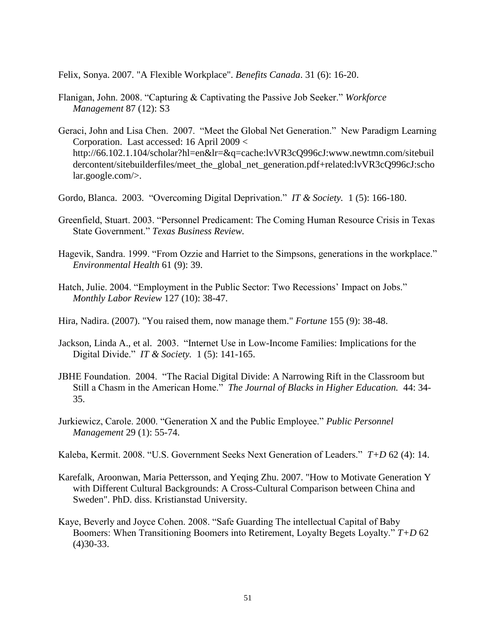Felix, Sonya. 2007. "A Flexible Workplace". *Benefits Canada*. 31 (6): 16-20.

- Flanigan, John. 2008. "Capturing & Captivating the Passive Job Seeker." *Workforce Management* 87 (12): S3
- Geraci, John and Lisa Chen. 2007. "Meet the Global Net Generation." New Paradigm Learning Corporation. Last accessed: 16 April 2009 < http://66.102.1.104/scholar?hl=en&lr=&q=cache:lvVR3cQ996cJ:www.newtmn.com/sitebuil dercontent/sitebuilderfiles/meet\_the\_global\_net\_generation.pdf+related:lvVR3cQ996cJ:scho lar.google.com/>.
- Gordo, Blanca. 2003. "Overcoming Digital Deprivation." *IT & Society.* 1 (5): 166-180.
- Greenfield, Stuart. 2003. "Personnel Predicament: The Coming Human Resource Crisis in Texas State Government." Texas Business Review.
- Hagevik, Sandra. 1999. "From Ozzie and Harriet to the Simpsons, generations in the workplace." *Environmental Health* 61 (9): 39.
- Hatch, Julie. 2004. "Employment in the Public Sector: Two Recessions' Impact on Jobs." *Monthly Labor Review* 127 (10): 38-47.
- Hira, Nadira. (2007). "You raised them, now manage them." *Fortune* 155 (9): 38-48.
- Jackson, Linda A., et al. 2003. "Internet Use in Low-Income Families: Implications for the Digital Divide.‖ *IT & Society.* 1 (5): 141-165.
- JBHE Foundation. 2004. "The Racial Digital Divide: A Narrowing Rift in the Classroom but Still a Chasm in the American Home." *The Journal of Blacks in Higher Education*. <sup>44: 34-</sup> 35.
- Jurkiewicz, Carole. 2000. "Generation X and the Public Employee." *Public Personnel Management* 29 (1): 55-74.
- Kaleba, Kermit. 2008. "U.S. Government Seeks Next Generation of Leaders."  $T+D$  62 (4): 14.
- Karefalk, Aroonwan, Maria Pettersson, and Yeqing Zhu. 2007. "How to Motivate Generation Y with Different Cultural Backgrounds: A Cross-Cultural Comparison between China and Sweden". PhD. diss. Kristianstad University.
- Kaye, Beverly and Joyce Cohen. 2008. "Safe Guarding The intellectual Capital of Baby Boomers: When Transitioning Boomers into Retirement, Loyalty Begets Loyalty."  $T+D$  62 (4)30-33.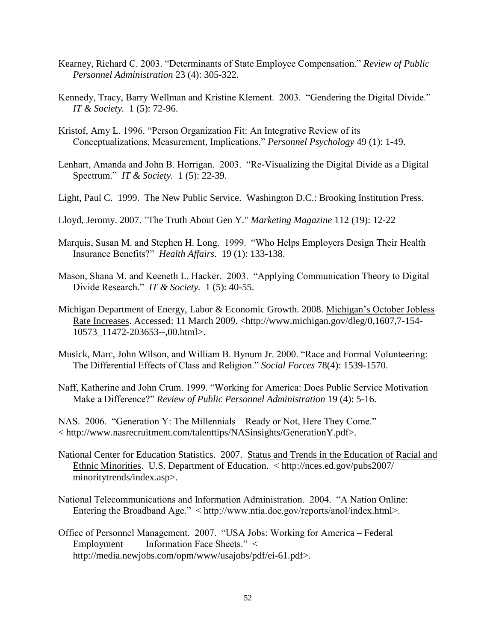- Kearney, Richard C. 2003. "Determinants of State Employee Compensation." *Review of Public Personnel Administration* 23 (4): 305-322.
- Kennedy, Tracy, Barry Wellman and Kristine Klement. 2003. "Gendering the Digital Divide." *IT & Society.* 1 (5): 72-96.
- Kristof, Amy L. 1996. "Person Organization Fit: An Integrative Review of its Conceptualizations, Measurement, Implications.‖ *Personnel Psychology* 49 (1): 1-49.
- Lenhart, Amanda and John B. Horrigan. 2003. "Re-Visualizing the Digital Divide as a Digital Spectrum.‖ *IT & Society.* 1 (5): 22-39.
- Light, Paul C. 1999. The New Public Service. Washington D.C.: Brooking Institution Press.
- Lloyd, Jeromy. 2007. "The Truth About Gen Y." *Marketing Magazine* 112 (19): 12-22
- Marquis, Susan M. and Stephen H. Long. 1999. "Who Helps Employers Design Their Health Insurance Benefits?‖ *Health Affairs*. 19 (1): 133-138.
- Mason, Shana M. and Keeneth L. Hacker. 2003. "Applying Communication Theory to Digital Divide Research.‖ *IT & Society.* 1 (5): 40-55.
- Michigan Department of Energy, Labor & Economic Growth. 2008. Michigan's October Jobless Rate Increases. Accessed: 11 March 2009. <http://www.michigan.gov/dleg/0,1607,7-154- 10573\_11472-203653--,00.html>.
- Musick, Marc, John Wilson, and William B. Bynum Jr. 2000. "Race and Formal Volunteering: The Differential Effects of Class and Religion.‖ *Social Forces* 78(4): 1539-1570.
- Naff, Katherine and John Crum. 1999. "Working for America: Does Public Service Motivation Make a Difference?" *Review of Public Personnel Administration* 19 (4): 5-16.

NAS. 2006. "Generation Y: The Millennials – Ready or Not, Here They Come." < http://www.nasrecruitment.com/talenttips/NASinsights/GenerationY.pdf>.

- National Center for Education Statistics. 2007. Status and Trends in the Education of Racial and Ethnic Minorities. U.S. Department of Education. < http://nces.ed.gov/pubs2007/ minoritytrends/index.asp>.
- National Telecommunications and Information Administration. 2004. "A Nation Online: Entering the Broadband Age." < http://www.ntia.doc.gov/reports/anol/index.html>.
- Office of Personnel Management. 2007. "USA Jobs: Working for America Federal Employment Information Face Sheets."  $\leq$ http://media.newjobs.com/opm/www/usajobs/pdf/ei-61.pdf>.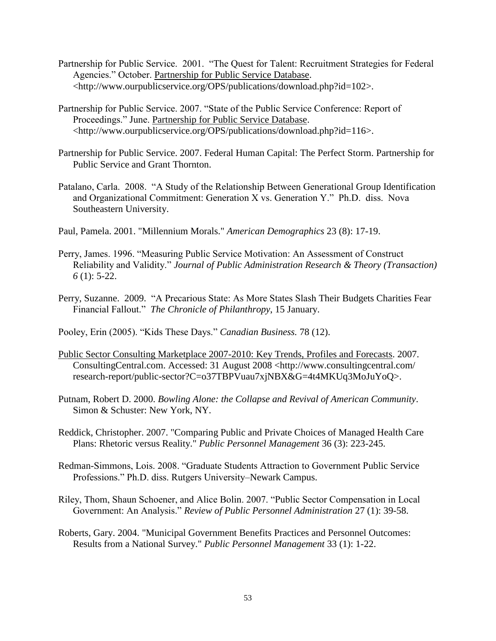- Partnership for Public Service. 2001. "The Quest for Talent: Recruitment Strategies for Federal Agencies." October. Partnership for Public Service Database. <http://www.ourpublicservice.org/OPS/publications/download.php?id=102>.
- Partnership for Public Service. 2007. "State of the Public Service Conference: Report of Proceedings." June. Partnership for Public Service Database. <http://www.ourpublicservice.org/OPS/publications/download.php?id=116>.
- Partnership for Public Service. 2007. Federal Human Capital: The Perfect Storm. Partnership for Public Service and Grant Thornton.
- Patalano, Carla. 2008. "A Study of the Relationship Between Generational Group Identification and Organizational Commitment: Generation  $X$  vs. Generation  $Y$ ." Ph.D. diss. Nova Southeastern University.
- Paul, Pamela. 2001. "Millennium Morals." *American Demographics* 23 (8): 17-19.
- Perry, James. 1996. "Measuring Public Service Motivation: An Assessment of Construct Reliability and Validity." Journal of Public Administration Research & Theory (Transaction) *6* (1): 5-22.
- Perry, Suzanne. 2009. "A Precarious State: As More States Slash Their Budgets Charities Fear Financial Fallout.‖ *The Chronicle of Philanthropy*, 15 January.

Pooley, Erin (2005). "Kids These Days." *Canadian Business.* 78 (12).

- Public Sector Consulting Marketplace 2007-2010: Key Trends, Profiles and Forecasts. 2007. ConsultingCentral.com. Accessed: 31 August 2008 <http://www.consultingcentral.com/ research-report/public-sector?C=o37TBPVuau7xjNBX&G=4t4MKUq3MoJuYoQ>.
- Putnam, Robert D. 2000. *Bowling Alone: the Collapse and Revival of American Community*. Simon & Schuster: New York, NY.
- Reddick, Christopher. 2007. "Comparing Public and Private Choices of Managed Health Care Plans: Rhetoric versus Reality." *Public Personnel Management* 36 (3): 223-245.
- Redman-Simmons, Lois. 2008. "Graduate Students Attraction to Government Public Service Professions." Ph.D. diss. Rutgers University–Newark Campus.
- Riley, Thom, Shaun Schoener, and Alice Bolin. 2007. "Public Sector Compensation in Local Government: An Analysis." *Review of Public Personnel Administration 27* (1): 39-58.
- Roberts, Gary. 2004. "Municipal Government Benefits Practices and Personnel Outcomes: Results from a National Survey." *Public Personnel Management* 33 (1): 1-22.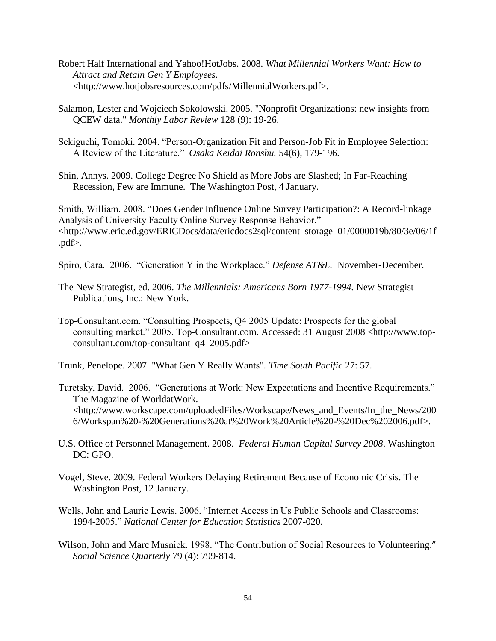- Robert Half International and Yahoo!HotJobs. 2008. *What Millennial Workers Want: How to Attract and Retain Gen Y Employees.*  <http://www.hotjobsresources.com/pdfs/MillennialWorkers.pdf>.
- Salamon, Lester and Wojciech Sokolowski. 2005. "Nonprofit Organizations: new insights from QCEW data." *Monthly Labor Review* 128 (9): 19-26.
- Sekiguchi, Tomoki. 2004. "Person-Organization Fit and Person-Job Fit in Employee Selection: A Review of the Literature.‖ *Osaka Keidai Ronshu.* 54(6), 179-196.
- Shin, Annys. 2009. College Degree No Shield as More Jobs are Slashed; In Far-Reaching Recession, Few are Immune. The Washington Post, 4 January.

Smith, William. 2008. "Does Gender Influence Online Survey Participation?: A Record-linkage Analysis of University Faculty Online Survey Response Behavior." <http://www.eric.ed.gov/ERICDocs/data/ericdocs2sql/content\_storage\_01/0000019b/80/3e/06/1f .pdf>.

- Spiro, Cara. 2006. "Generation Y in the Workplace." *Defense AT&L*. November-December.
- The New Strategist, ed. 2006. *The Millennials: Americans Born 1977-1994.* New Strategist Publications, Inc.: New York.
- Top-Consultant.com. "Consulting Prospects, Q4 2005 Update: Prospects for the global consulting market." 2005. Top-Consultant.com. Accessed: 31 August 2008 <http://www.topconsultant.com/top-consultant\_q4\_2005.pdf>
- Trunk, Penelope. 2007. "What Gen Y Really Wants". *Time South Pacific* 27: 57.
- Turetsky, David. 2006. "Generations at Work: New Expectations and Incentive Requirements." The Magazine of WorldatWork. <http://www.workscape.com/uploadedFiles/Workscape/News\_and\_Events/In\_the\_News/200 6/Workspan%20-%20Generations%20at%20Work%20Article%20-%20Dec%202006.pdf>.
- U.S. Office of Personnel Management. 2008. *Federal Human Capital Survey 2008*. Washington DC: GPO.
- Vogel, Steve. 2009. Federal Workers Delaying Retirement Because of Economic Crisis. The Washington Post, 12 January.
- Wells, John and Laurie Lewis. 2006. "Internet Access in Us Public Schools and Classrooms: 1994-2005.‖ *National Center for Education Statistics* 2007-020.
- Wilson, John and Marc Musnick. 1998. "The Contribution of Social Resources to Volunteering." *Social Science Quarterly* 79 (4): 799-814.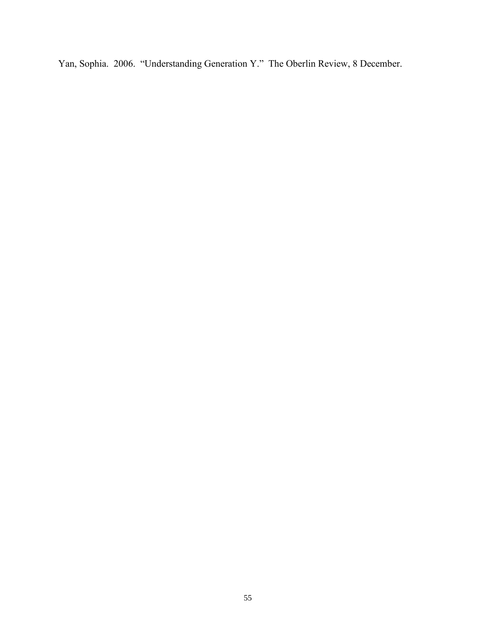Yan, Sophia. 2006. "Understanding Generation Y." The Oberlin Review, 8 December.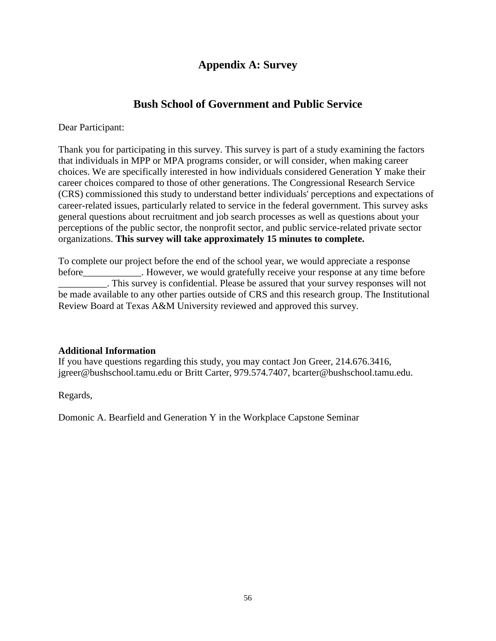# **Appendix A: Survey**

# **Bush School of Government and Public Service**

Dear Participant:

Thank you for participating in this survey. This survey is part of a study examining the factors that individuals in MPP or MPA programs consider, or will consider, when making career choices. We are specifically interested in how individuals considered Generation Y make their career choices compared to those of other generations. The Congressional Research Service (CRS) commissioned this study to understand better individuals' perceptions and expectations of career-related issues, particularly related to service in the federal government. This survey asks general questions about recruitment and job search processes as well as questions about your perceptions of the public sector, the nonprofit sector, and public service-related private sector organizations. **This survey will take approximately 15 minutes to complete.**

To complete our project before the end of the school year, we would appreciate a response before Fore . However, we would gratefully receive your response at any time before \_\_\_\_\_\_\_\_\_\_. This survey is confidential. Please be assured that your survey responses will not be made available to any other parties outside of CRS and this research group. The Institutional Review Board at Texas A&M University reviewed and approved this survey.

# **Additional Information**

If you have questions regarding this study, you may contact Jon Greer, 214.676.3416, jgreer@bushschool.tamu.edu or Britt Carter, 979.574.7407, bcarter@bushschool.tamu.edu.

Regards,

Domonic A. Bearfield and Generation Y in the Workplace Capstone Seminar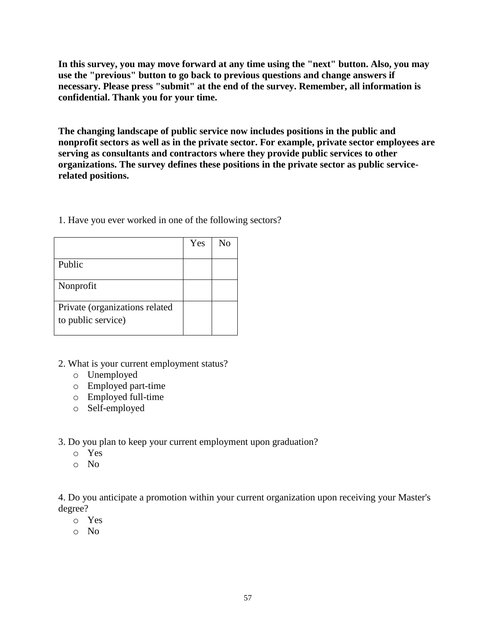**In this survey, you may move forward at any time using the "next" button. Also, you may use the "previous" button to go back to previous questions and change answers if necessary. Please press "submit" at the end of the survey. Remember, all information is confidential. Thank you for your time.**

**The changing landscape of public service now includes positions in the public and nonprofit sectors as well as in the private sector. For example, private sector employees are serving as consultants and contractors where they provide public services to other organizations. The survey defines these positions in the private sector as public servicerelated positions.**

1. Have you ever worked in one of the following sectors?

|                                | Yes | Nο |
|--------------------------------|-----|----|
| Public                         |     |    |
|                                |     |    |
| Nonprofit                      |     |    |
|                                |     |    |
| Private (organizations related |     |    |
| to public service)             |     |    |
|                                |     |    |

- 2. What is your current employment status?
	- o Unemployed
	- o Employed part-time
	- o Employed full-time
	- o Self-employed

3. Do you plan to keep your current employment upon graduation?

- o Yes
- o No

4. Do you anticipate a promotion within your current organization upon receiving your Master's degree?

- o Yes
- o No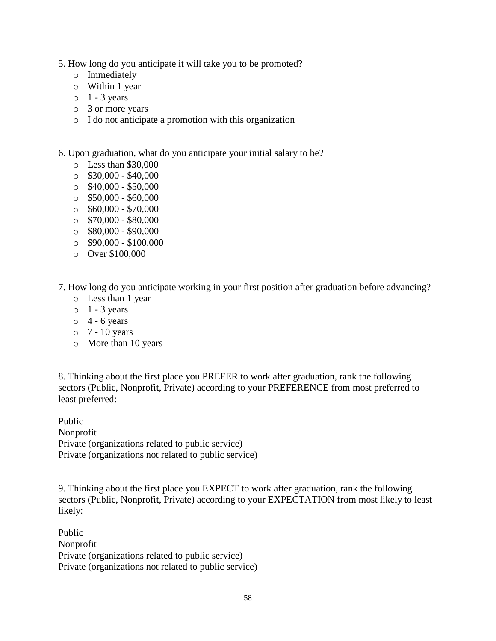- 5. How long do you anticipate it will take you to be promoted?
	- o Immediately
	- o Within 1 year
	- $\circ$  1 3 years
	- o 3 or more years
	- o I do not anticipate a promotion with this organization
- 6. Upon graduation, what do you anticipate your initial salary to be?
	- o Less than \$30,000
	- $\circ$  \$30,000 \$40,000
	- $\circ$  \$40,000 \$50,000
	- $\circ$  \$50,000 \$60,000
	- $\circ$  \$60,000 \$70,000
	- $\circ$  \$70,000 \$80,000
	- $\circ$  \$80,000 \$90,000
	- $\circ$  \$90,000 \$100,000
	- o Over \$100,000
- 7. How long do you anticipate working in your first position after graduation before advancing?
	- o Less than 1 year
	- $\circ$  1 3 years
	- $\circ$  4 6 years
	- $\circ$  7 10 years
	- o More than 10 years

8. Thinking about the first place you PREFER to work after graduation, rank the following sectors (Public, Nonprofit, Private) according to your PREFERENCE from most preferred to least preferred:

Public Nonprofit Private (organizations related to public service) Private (organizations not related to public service)

9. Thinking about the first place you EXPECT to work after graduation, rank the following sectors (Public, Nonprofit, Private) according to your EXPECTATION from most likely to least likely:

Public Nonprofit Private (organizations related to public service) Private (organizations not related to public service)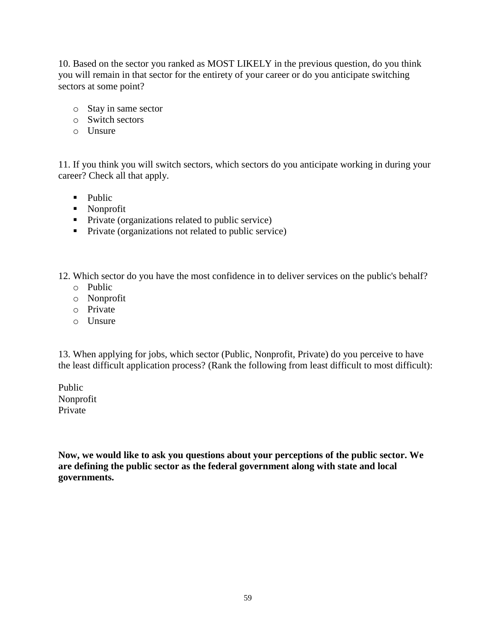10. Based on the sector you ranked as MOST LIKELY in the previous question, do you think you will remain in that sector for the entirety of your career or do you anticipate switching sectors at some point?

- o Stay in same sector
- o Switch sectors
- o Unsure

11. If you think you will switch sectors, which sectors do you anticipate working in during your career? Check all that apply.

- $\n **P while**\n$
- **Nonprofit**
- **Private (organizations related to public service)**
- **Private (organizations not related to public service)**

12. Which sector do you have the most confidence in to deliver services on the public's behalf?

- o Public
- o Nonprofit
- o Private
- o Unsure

13. When applying for jobs, which sector (Public, Nonprofit, Private) do you perceive to have the least difficult application process? (Rank the following from least difficult to most difficult):

Public Nonprofit Private

**Now, we would like to ask you questions about your perceptions of the public sector. We are defining the public sector as the federal government along with state and local governments.**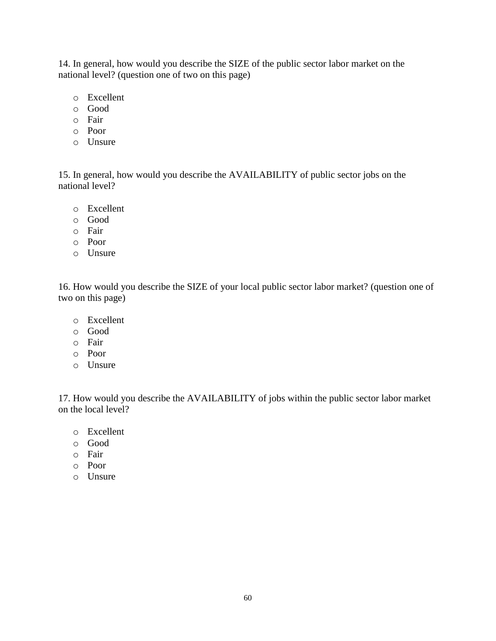14. In general, how would you describe the SIZE of the public sector labor market on the national level? (question one of two on this page)

- o Excellent
- o Good
- o Fair
- o Poor
- o Unsure

15. In general, how would you describe the AVAILABILITY of public sector jobs on the national level?

- o Excellent
- o Good
- o Fair
- o Poor
- o Unsure

16. How would you describe the SIZE of your local public sector labor market? (question one of two on this page)

- o Excellent
- o Good
- o Fair
- o Poor
- o Unsure

17. How would you describe the AVAILABILITY of jobs within the public sector labor market on the local level?

- o Excellent
- o Good
- o Fair
- o Poor
- o Unsure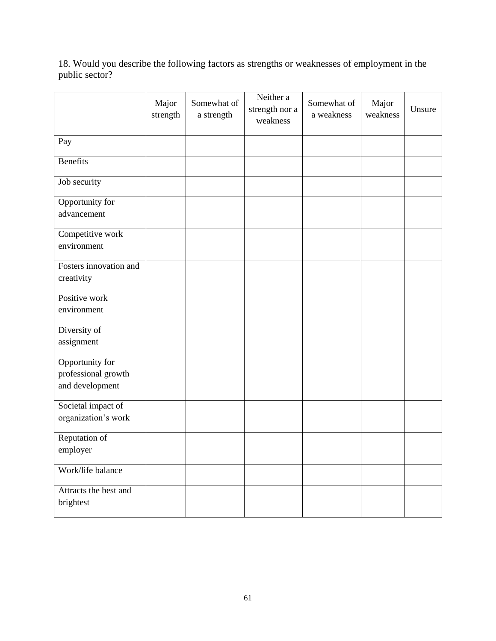18. Would you describe the following factors as strengths or weaknesses of employment in the public sector?

|                                                           | Major<br>strength | Somewhat of<br>a strength | Neither a<br>strength nor a<br>weakness | Somewhat of<br>a weakness | Major<br>weakness | Unsure |
|-----------------------------------------------------------|-------------------|---------------------------|-----------------------------------------|---------------------------|-------------------|--------|
| Pay                                                       |                   |                           |                                         |                           |                   |        |
| <b>Benefits</b>                                           |                   |                           |                                         |                           |                   |        |
| Job security                                              |                   |                           |                                         |                           |                   |        |
| Opportunity for<br>advancement                            |                   |                           |                                         |                           |                   |        |
| Competitive work<br>environment                           |                   |                           |                                         |                           |                   |        |
| Fosters innovation and<br>creativity                      |                   |                           |                                         |                           |                   |        |
| Positive work<br>environment                              |                   |                           |                                         |                           |                   |        |
| Diversity of<br>assignment                                |                   |                           |                                         |                           |                   |        |
| Opportunity for<br>professional growth<br>and development |                   |                           |                                         |                           |                   |        |
| Societal impact of<br>organization's work                 |                   |                           |                                         |                           |                   |        |
| Reputation of<br>employer                                 |                   |                           |                                         |                           |                   |        |
| Work/life balance                                         |                   |                           |                                         |                           |                   |        |
| Attracts the best and<br>brightest                        |                   |                           |                                         |                           |                   |        |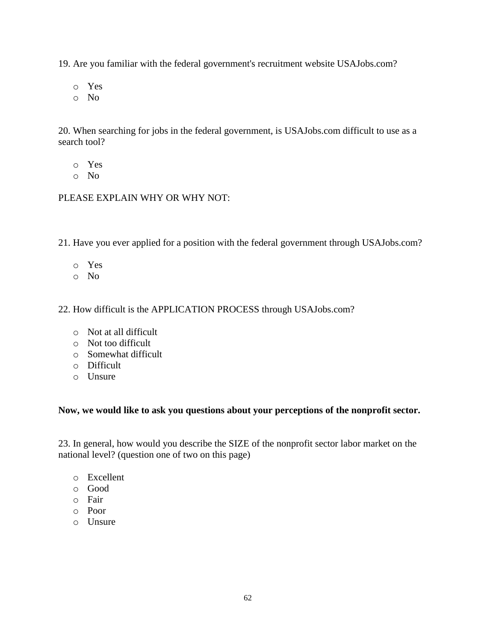19. Are you familiar with the federal government's recruitment website USAJobs.com?

o Yes

o No

20. When searching for jobs in the federal government, is USAJobs.com difficult to use as a search tool?

- o Yes
- o No

# PLEASE EXPLAIN WHY OR WHY NOT:

21. Have you ever applied for a position with the federal government through USAJobs.com?

- o Yes
- o No

22. How difficult is the APPLICATION PROCESS through USAJobs.com?

- o Not at all difficult
- o Not too difficult
- o Somewhat difficult
- o Difficult
- o Unsure

# **Now, we would like to ask you questions about your perceptions of the nonprofit sector.**

23. In general, how would you describe the SIZE of the nonprofit sector labor market on the national level? (question one of two on this page)

- o Excellent
- o Good
- o Fair
- o Poor
- o Unsure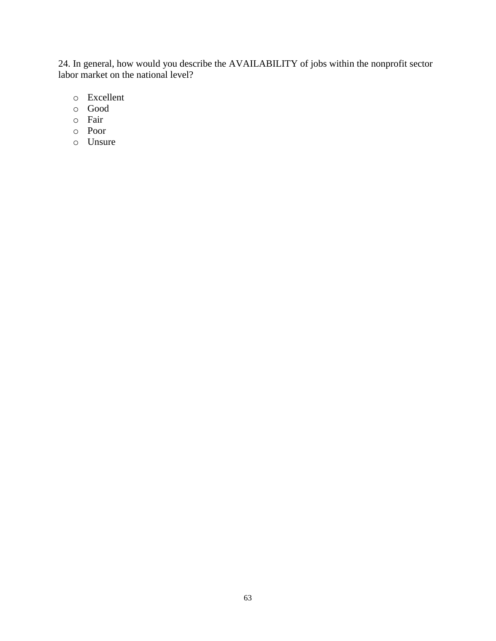24. In general, how would you describe the AVAILABILITY of jobs within the nonprofit sector labor market on the national level?

- o Excellent
- o Good
- o Fair
- o Poor
- o Unsure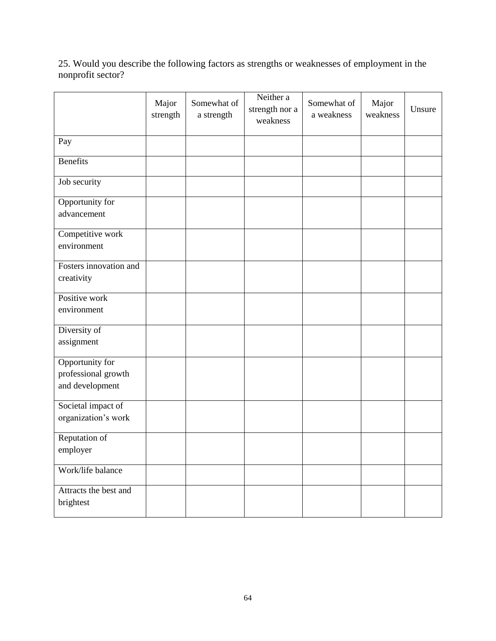25. Would you describe the following factors as strengths or weaknesses of employment in the nonprofit sector?

|                                           | Major<br>strength | Somewhat of<br>a strength | Neither a<br>strength nor a<br>weakness | Somewhat of<br>a weakness | Major<br>weakness | Unsure |
|-------------------------------------------|-------------------|---------------------------|-----------------------------------------|---------------------------|-------------------|--------|
| Pay                                       |                   |                           |                                         |                           |                   |        |
| <b>Benefits</b>                           |                   |                           |                                         |                           |                   |        |
| Job security                              |                   |                           |                                         |                           |                   |        |
| Opportunity for<br>advancement            |                   |                           |                                         |                           |                   |        |
|                                           |                   |                           |                                         |                           |                   |        |
| Competitive work<br>environment           |                   |                           |                                         |                           |                   |        |
| Fosters innovation and                    |                   |                           |                                         |                           |                   |        |
| creativity                                |                   |                           |                                         |                           |                   |        |
| Positive work<br>environment              |                   |                           |                                         |                           |                   |        |
|                                           |                   |                           |                                         |                           |                   |        |
| Diversity of<br>assignment                |                   |                           |                                         |                           |                   |        |
| Opportunity for                           |                   |                           |                                         |                           |                   |        |
| professional growth<br>and development    |                   |                           |                                         |                           |                   |        |
| Societal impact of<br>organization's work |                   |                           |                                         |                           |                   |        |
| Reputation of<br>employer                 |                   |                           |                                         |                           |                   |        |
| Work/life balance                         |                   |                           |                                         |                           |                   |        |
| Attracts the best and<br>brightest        |                   |                           |                                         |                           |                   |        |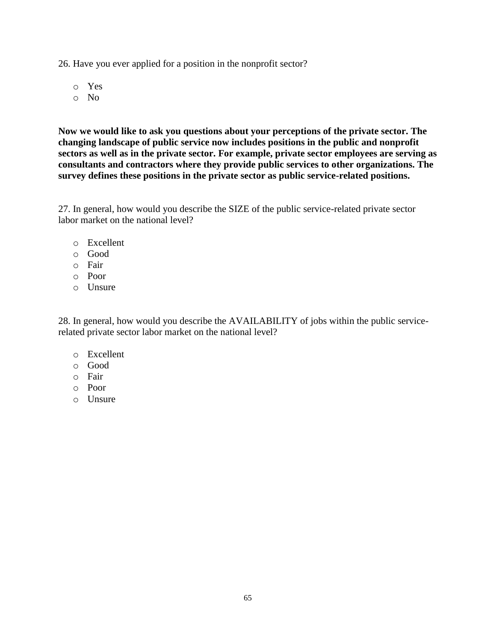26. Have you ever applied for a position in the nonprofit sector?

o Yes

o No

**Now we would like to ask you questions about your perceptions of the private sector. The changing landscape of public service now includes positions in the public and nonprofit sectors as well as in the private sector. For example, private sector employees are serving as consultants and contractors where they provide public services to other organizations. The survey defines these positions in the private sector as public service-related positions.**

27. In general, how would you describe the SIZE of the public service-related private sector labor market on the national level?

- o Excellent
- o Good
- o Fair
- o Poor
- o Unsure

28. In general, how would you describe the AVAILABILITY of jobs within the public servicerelated private sector labor market on the national level?

- o Excellent
- o Good
- o Fair
- o Poor
- o Unsure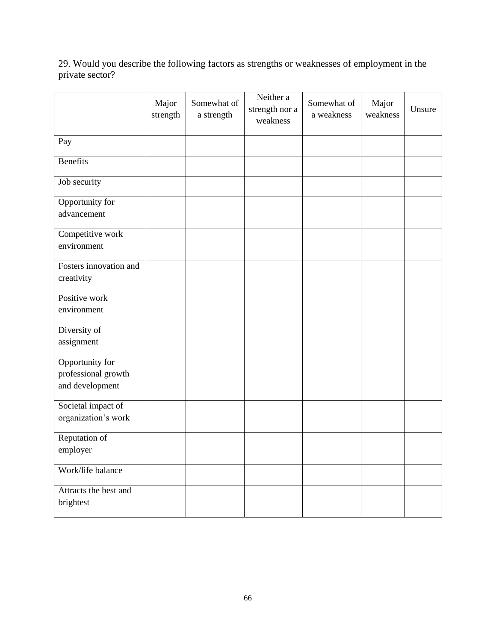29. Would you describe the following factors as strengths or weaknesses of employment in the private sector?

|                                                           | Major<br>strength | Somewhat of<br>a strength | Neither a<br>strength nor a<br>weakness | Somewhat of<br>a weakness | Major<br>weakness | Unsure |
|-----------------------------------------------------------|-------------------|---------------------------|-----------------------------------------|---------------------------|-------------------|--------|
| Pay                                                       |                   |                           |                                         |                           |                   |        |
| <b>Benefits</b>                                           |                   |                           |                                         |                           |                   |        |
| Job security                                              |                   |                           |                                         |                           |                   |        |
| Opportunity for<br>advancement                            |                   |                           |                                         |                           |                   |        |
| Competitive work<br>environment                           |                   |                           |                                         |                           |                   |        |
| Fosters innovation and<br>creativity                      |                   |                           |                                         |                           |                   |        |
| Positive work<br>environment                              |                   |                           |                                         |                           |                   |        |
| Diversity of<br>assignment                                |                   |                           |                                         |                           |                   |        |
| Opportunity for<br>professional growth<br>and development |                   |                           |                                         |                           |                   |        |
| Societal impact of<br>organization's work                 |                   |                           |                                         |                           |                   |        |
| Reputation of<br>employer                                 |                   |                           |                                         |                           |                   |        |
| Work/life balance                                         |                   |                           |                                         |                           |                   |        |
| Attracts the best and<br>brightest                        |                   |                           |                                         |                           |                   |        |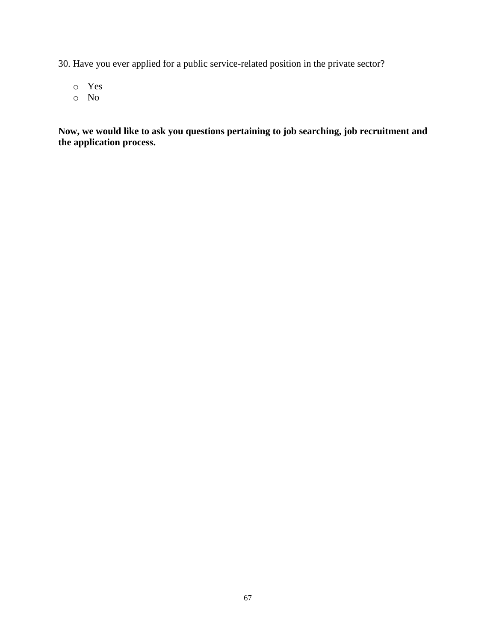30. Have you ever applied for a public service-related position in the private sector?

- o Yes
- o No

**Now, we would like to ask you questions pertaining to job searching, job recruitment and the application process.**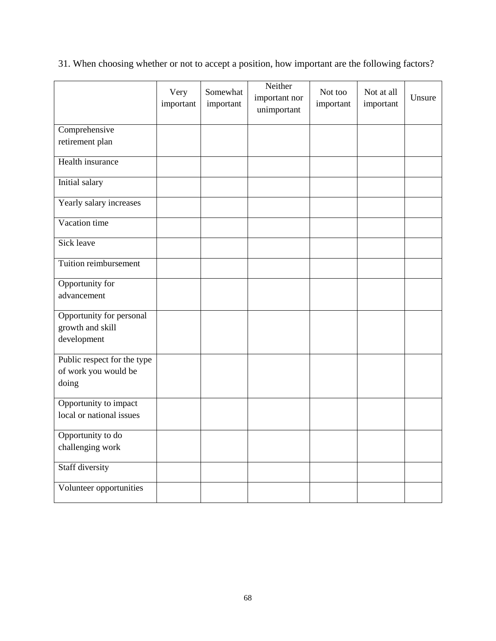31. When choosing whether or not to accept a position, how important are the following factors?

|                                                              | Very<br>important | Somewhat<br>important | Neither<br>important nor<br>unimportant | Not too<br>important | Not at all<br>important | Unsure |
|--------------------------------------------------------------|-------------------|-----------------------|-----------------------------------------|----------------------|-------------------------|--------|
| Comprehensive                                                |                   |                       |                                         |                      |                         |        |
| retirement plan                                              |                   |                       |                                         |                      |                         |        |
| Health insurance                                             |                   |                       |                                         |                      |                         |        |
| Initial salary                                               |                   |                       |                                         |                      |                         |        |
| Yearly salary increases                                      |                   |                       |                                         |                      |                         |        |
| Vacation time                                                |                   |                       |                                         |                      |                         |        |
| Sick leave                                                   |                   |                       |                                         |                      |                         |        |
| Tuition reimbursement                                        |                   |                       |                                         |                      |                         |        |
| Opportunity for<br>advancement                               |                   |                       |                                         |                      |                         |        |
| Opportunity for personal<br>growth and skill<br>development  |                   |                       |                                         |                      |                         |        |
| Public respect for the type<br>of work you would be<br>doing |                   |                       |                                         |                      |                         |        |
| Opportunity to impact<br>local or national issues            |                   |                       |                                         |                      |                         |        |
| Opportunity to do<br>challenging work                        |                   |                       |                                         |                      |                         |        |
| Staff diversity                                              |                   |                       |                                         |                      |                         |        |
| Volunteer opportunities                                      |                   |                       |                                         |                      |                         |        |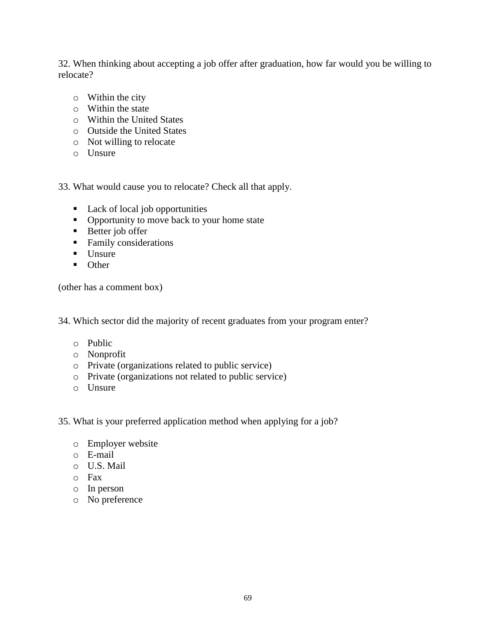32. When thinking about accepting a job offer after graduation, how far would you be willing to relocate?

- o Within the city
- o Within the state
- o Within the United States
- o Outside the United States
- o Not willing to relocate
- o Unsure

33. What would cause you to relocate? Check all that apply.

- Lack of local job opportunities
- Opportunity to move back to your home state
- Better job offer
- **Family considerations**
- $\blacksquare$  Unsure
- Other

(other has a comment box)

34. Which sector did the majority of recent graduates from your program enter?

- o Public
- o Nonprofit
- o Private (organizations related to public service)
- o Private (organizations not related to public service)
- o Unsure
- 35. What is your preferred application method when applying for a job?
	- o Employer website
	- o E-mail
	- o U.S. Mail
	- o Fax
	- o In person
	- o No preference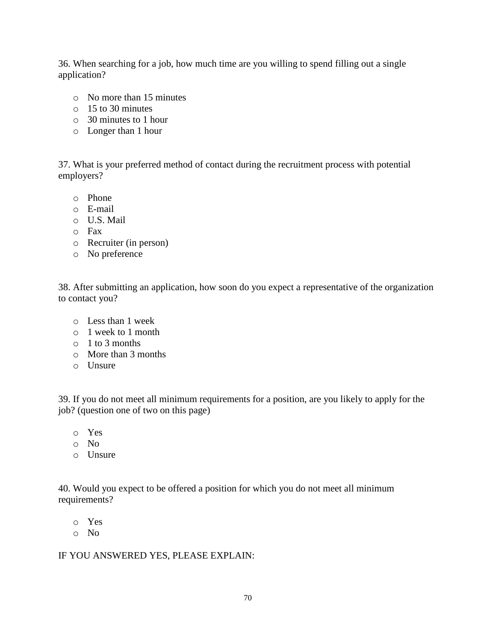36. When searching for a job, how much time are you willing to spend filling out a single application?

- o No more than 15 minutes
- o 15 to 30 minutes
- o 30 minutes to 1 hour
- o Longer than 1 hour

37. What is your preferred method of contact during the recruitment process with potential employers?

- o Phone
- o E-mail
- o U.S. Mail
- o Fax
- o Recruiter (in person)
- o No preference

38. After submitting an application, how soon do you expect a representative of the organization to contact you?

- o Less than 1 week
- o 1 week to 1 month
- o 1 to 3 months
- o More than 3 months
- o Unsure

39. If you do not meet all minimum requirements for a position, are you likely to apply for the job? (question one of two on this page)

- o Yes
- o No
- o Unsure

40. Would you expect to be offered a position for which you do not meet all minimum requirements?

o Yes

o No

## IF YOU ANSWERED YES, PLEASE EXPLAIN: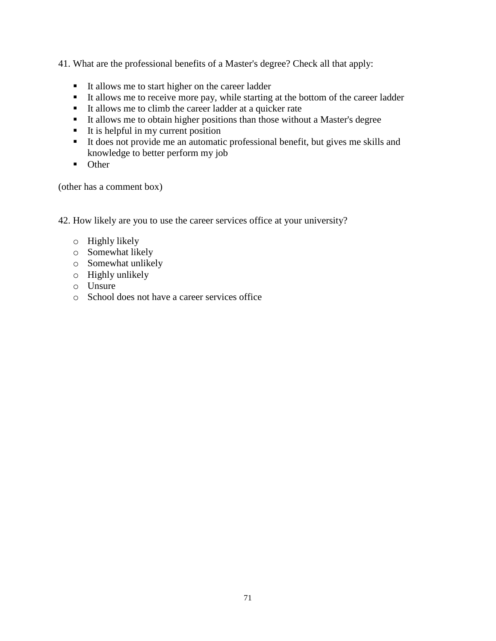41. What are the professional benefits of a Master's degree? Check all that apply:

- It allows me to start higher on the career ladder
- It allows me to receive more pay, while starting at the bottom of the career ladder
- It allows me to climb the career ladder at a quicker rate
- It allows me to obtain higher positions than those without a Master's degree
- $\blacksquare$  It is helpful in my current position
- It does not provide me an automatic professional benefit, but gives me skills and knowledge to better perform my job
- **Other**

(other has a comment box)

42. How likely are you to use the career services office at your university?

- o Highly likely
- o Somewhat likely
- o Somewhat unlikely
- o Highly unlikely
- o Unsure
- o School does not have a career services office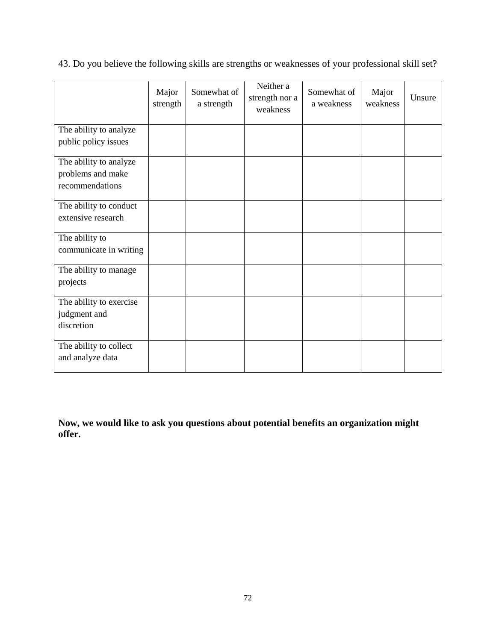|  |  | 43. Do you believe the following skills are strengths or weaknesses of your professional skill set? |  |  |
|--|--|-----------------------------------------------------------------------------------------------------|--|--|
|  |  |                                                                                                     |  |  |

|                         | Major<br>strength | Somewhat of<br>a strength | Neither a<br>strength nor a<br>weakness | Somewhat of<br>a weakness | Major<br>weakness | Unsure |
|-------------------------|-------------------|---------------------------|-----------------------------------------|---------------------------|-------------------|--------|
| The ability to analyze  |                   |                           |                                         |                           |                   |        |
| public policy issues    |                   |                           |                                         |                           |                   |        |
| The ability to analyze  |                   |                           |                                         |                           |                   |        |
| problems and make       |                   |                           |                                         |                           |                   |        |
| recommendations         |                   |                           |                                         |                           |                   |        |
| The ability to conduct  |                   |                           |                                         |                           |                   |        |
| extensive research      |                   |                           |                                         |                           |                   |        |
| The ability to          |                   |                           |                                         |                           |                   |        |
| communicate in writing  |                   |                           |                                         |                           |                   |        |
| The ability to manage   |                   |                           |                                         |                           |                   |        |
| projects                |                   |                           |                                         |                           |                   |        |
| The ability to exercise |                   |                           |                                         |                           |                   |        |
| judgment and            |                   |                           |                                         |                           |                   |        |
| discretion              |                   |                           |                                         |                           |                   |        |
| The ability to collect  |                   |                           |                                         |                           |                   |        |
| and analyze data        |                   |                           |                                         |                           |                   |        |

**Now, we would like to ask you questions about potential benefits an organization might offer.**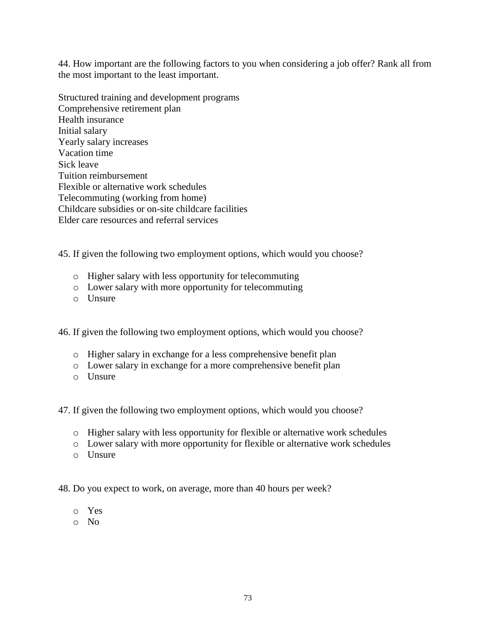44. How important are the following factors to you when considering a job offer? Rank all from the most important to the least important.

Structured training and development programs Comprehensive retirement plan Health insurance Initial salary Yearly salary increases Vacation time Sick leave Tuition reimbursement Flexible or alternative work schedules Telecommuting (working from home) Childcare subsidies or on-site childcare facilities Elder care resources and referral services

45. If given the following two employment options, which would you choose?

- o Higher salary with less opportunity for telecommuting
- o Lower salary with more opportunity for telecommuting
- o Unsure

46. If given the following two employment options, which would you choose?

- o Higher salary in exchange for a less comprehensive benefit plan
- o Lower salary in exchange for a more comprehensive benefit plan
- o Unsure

47. If given the following two employment options, which would you choose?

- o Higher salary with less opportunity for flexible or alternative work schedules
- o Lower salary with more opportunity for flexible or alternative work schedules
- o Unsure

48. Do you expect to work, on average, more than 40 hours per week?

- o Yes
- o No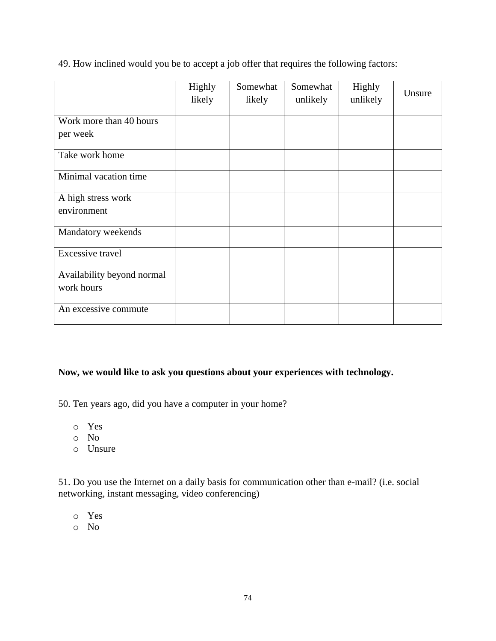|                            | Highly<br>likely | Somewhat<br>likely | Somewhat<br>unlikely | Highly<br>unlikely | Unsure |
|----------------------------|------------------|--------------------|----------------------|--------------------|--------|
| Work more than 40 hours    |                  |                    |                      |                    |        |
| per week                   |                  |                    |                      |                    |        |
| Take work home             |                  |                    |                      |                    |        |
| Minimal vacation time      |                  |                    |                      |                    |        |
| A high stress work         |                  |                    |                      |                    |        |
| environment                |                  |                    |                      |                    |        |
| Mandatory weekends         |                  |                    |                      |                    |        |
| Excessive travel           |                  |                    |                      |                    |        |
| Availability beyond normal |                  |                    |                      |                    |        |
| work hours                 |                  |                    |                      |                    |        |
| An excessive commute       |                  |                    |                      |                    |        |

49. How inclined would you be to accept a job offer that requires the following factors:

## **Now, we would like to ask you questions about your experiences with technology.**

50. Ten years ago, did you have a computer in your home?

- o Yes
- o No
- o Unsure

51. Do you use the Internet on a daily basis for communication other than e-mail? (i.e. social networking, instant messaging, video conferencing)

- o Yes
- o No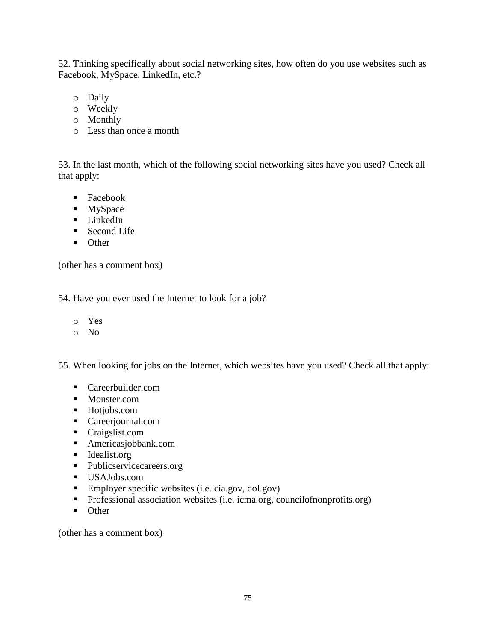52. Thinking specifically about social networking sites, how often do you use websites such as Facebook, MySpace, LinkedIn, etc.?

- o Daily
- o Weekly
- o Monthly
- o Less than once a month

53. In the last month, which of the following social networking sites have you used? Check all that apply:

- Facebook
- **MySpace**
- **LinkedIn**
- Second Life
- Other

(other has a comment box)

54. Have you ever used the Internet to look for a job?

- o Yes
- o No

55. When looking for jobs on the Internet, which websites have you used? Check all that apply:

- Careerbuilder.com
- Monster.com
- Hotjobs.com
- **Careerjournal.com**
- Craigslist.com
- Americasjobbank.com
- **Idealist.org**
- Publicservicecareers.org
- USAJobs.com
- **Employer specific websites (i.e. cia.gov, dol.gov)**
- Professional association websites (i.e. icma.org, councilofnonprofits.org)
- Other

(other has a comment box)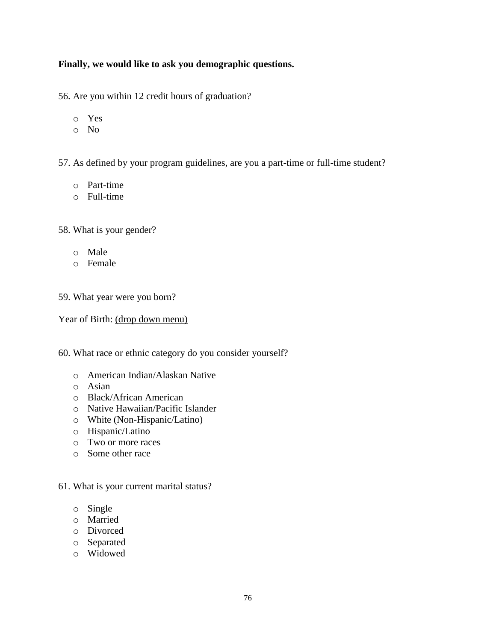## **Finally, we would like to ask you demographic questions.**

56. Are you within 12 credit hours of graduation?

- o Yes
- o No

57. As defined by your program guidelines, are you a part-time or full-time student?

- o Part-time
- o Full-time

58. What is your gender?

- o Male
- o Female

59. What year were you born?

Year of Birth: (drop down menu)

60. What race or ethnic category do you consider yourself?

- o American Indian/Alaskan Native
- o Asian
- o Black/African American
- o Native Hawaiian/Pacific Islander
- o White (Non-Hispanic/Latino)
- o Hispanic/Latino
- o Two or more races
- o Some other race

## 61. What is your current marital status?

- o Single
- o Married
- o Divorced
- o Separated
- o Widowed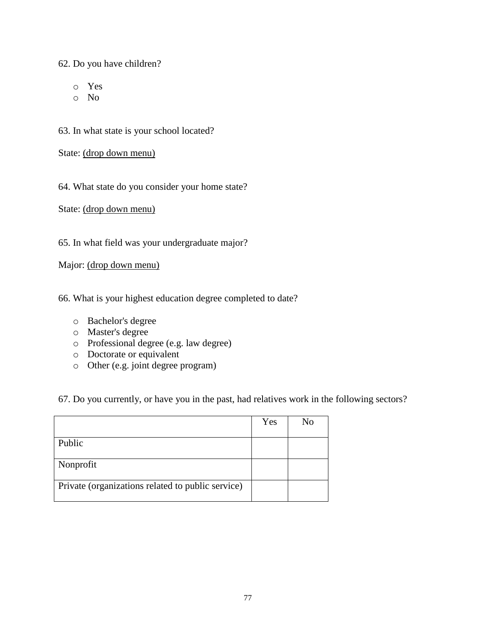62. Do you have children?

- o Yes
- o No

63. In what state is your school located?

State: (drop down menu)

64. What state do you consider your home state?

State: (drop down menu)

65. In what field was your undergraduate major?

Major: (drop down menu)

66. What is your highest education degree completed to date?

- o Bachelor's degree
- o Master's degree
- o Professional degree (e.g. law degree)
- o Doctorate or equivalent
- o Other (e.g. joint degree program)

67. Do you currently, or have you in the past, had relatives work in the following sectors?

|                                                   | Yes | No |
|---------------------------------------------------|-----|----|
|                                                   |     |    |
| Public                                            |     |    |
|                                                   |     |    |
| Nonprofit                                         |     |    |
|                                                   |     |    |
| Private (organizations related to public service) |     |    |
|                                                   |     |    |